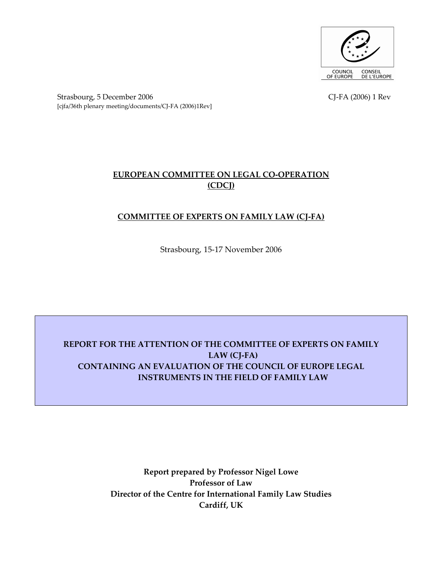

Strasbourg, 5 December 2006 CJ-FA (2006) 1 Rev [cjfa/36th plenary meeting/documents/CJ-FA (2006)1Rev]

# EUROPEAN COMMITTEE ON LEGAL CO-OPERATION (CDCJ)

# COMMITTEE OF EXPERTS ON FAMILY LAW (CJ-FA)

Strasbourg, 15-17 November 2006

# REPORT FOR THE ATTENTION OF THE COMMITTEE OF EXPERTS ON FAMILY LAW (CJ-FA) CONTAINING AN EVALUATION OF THE COUNCIL OF EUROPE LEGAL INSTRUMENTS IN THE FIELD OF FAMILY LAW

Report prepared by Professor Nigel Lowe Professor of Law Director of the Centre for International Family Law Studies Cardiff, UK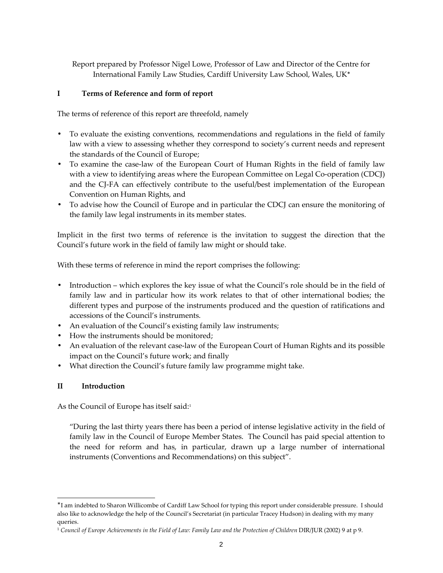Report prepared by Professor Nigel Lowe, Professor of Law and Director of the Centre for International Family Law Studies, Cardiff University Law School, Wales, UK<sup>∗</sup>

# I Terms of Reference and form of report

The terms of reference of this report are threefold, namely

- To evaluate the existing conventions, recommendations and regulations in the field of family law with a view to assessing whether they correspond to society's current needs and represent the standards of the Council of Europe;
- To examine the case-law of the European Court of Human Rights in the field of family law with a view to identifying areas where the European Committee on Legal Co-operation (CDCJ) and the CJ-FA can effectively contribute to the useful/best implementation of the European Convention on Human Rights, and
- To advise how the Council of Europe and in particular the CDCJ can ensure the monitoring of the family law legal instruments in its member states.

Implicit in the first two terms of reference is the invitation to suggest the direction that the Council's future work in the field of family law might or should take.

With these terms of reference in mind the report comprises the following:

- Introduction which explores the key issue of what the Council's role should be in the field of family law and in particular how its work relates to that of other international bodies; the different types and purpose of the instruments produced and the question of ratifications and accessions of the Council's instruments.
- An evaluation of the Council's existing family law instruments;
- How the instruments should be monitored;
- An evaluation of the relevant case-law of the European Court of Human Rights and its possible impact on the Council's future work; and finally
- What direction the Council's future family law programme might take.

# II Introduction

 $\overline{a}$ 

As the Council of Europe has itself said:<sup>1</sup>

"During the last thirty years there has been a period of intense legislative activity in the field of family law in the Council of Europe Member States. The Council has paid special attention to the need for reform and has, in particular, drawn up a large number of international instruments (Conventions and Recommendations) on this subject".

<sup>∗</sup> I am indebted to Sharon Willicombe of Cardiff Law School for typing this report under considerable pressure. I should also like to acknowledge the help of the Council's Secretariat (in particular Tracey Hudson) in dealing with my many queries.

<sup>1</sup> Council of Europe Achievements in the Field of Law: Family Law and the Protection of Children DIR/JUR (2002) 9 at p 9.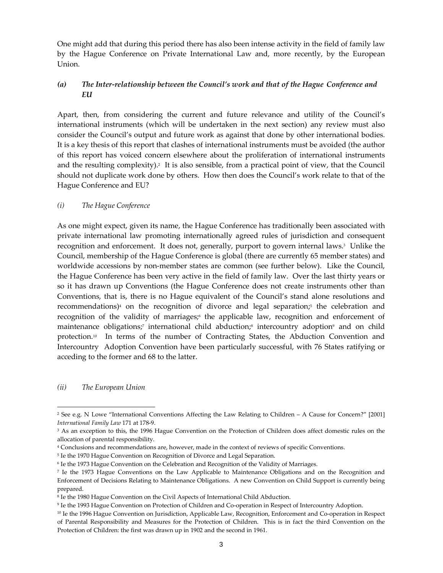One might add that during this period there has also been intense activity in the field of family law by the Hague Conference on Private International Law and, more recently, by the European Union.

# (a) The Inter-relationship between the Council's work and that of the Hague Conference and EU

Apart, then, from considering the current and future relevance and utility of the Council's international instruments (which will be undertaken in the next section) any review must also consider the Council's output and future work as against that done by other international bodies. It is a key thesis of this report that clashes of international instruments must be avoided (the author of this report has voiced concern elsewhere about the proliferation of international instruments and the resulting complexity).<sup>2</sup> It is also sensible, from a practical point of view, that the Council should not duplicate work done by others. How then does the Council's work relate to that of the Hague Conference and EU?

#### (i) The Hague Conference

As one might expect, given its name, the Hague Conference has traditionally been associated with private international law promoting internationally agreed rules of jurisdiction and consequent recognition and enforcement. It does not, generally, purport to govern internal laws.<sup>3</sup> Unlike the Council, membership of the Hague Conference is global (there are currently 65 member states) and worldwide accessions by non-member states are common (see further below). Like the Council, the Hague Conference has been very active in the field of family law. Over the last thirty years or so it has drawn up Conventions (the Hague Conference does not create instruments other than Conventions, that is, there is no Hague equivalent of the Council's stand alone resolutions and recommendations)<sup>4</sup> on the recognition of divorce and legal separation;<sup>5</sup> the celebration and recognition of the validity of marriages; the applicable law, recognition and enforcement of maintenance obligations;<sup>7</sup> international child abduction;<sup>8</sup> intercountry adoption<sup>9</sup> and on child protection.10 In terms of the number of Contracting States, the Abduction Convention and Intercountry Adoption Convention have been particularly successful, with 76 States ratifying or acceding to the former and 68 to the latter.

#### (ii) The European Union

<sup>2</sup> See e.g. N Lowe "International Conventions Affecting the Law Relating to Children – A Cause for Concern?" [2001] International Family Law 171 at 178-9.

<sup>3</sup> As an exception to this, the 1996 Hague Convention on the Protection of Children does affect domestic rules on the allocation of parental responsibility.

<sup>4</sup> Conclusions and recommendations are, however, made in the context of reviews of specific Conventions.

<sup>5</sup> Ie the 1970 Hague Convention on Recognition of Divorce and Legal Separation.

<sup>6</sup> Ie the 1973 Hague Convention on the Celebration and Recognition of the Validity of Marriages.

<sup>7</sup> Ie the 1973 Hague Conventions on the Law Applicable to Maintenance Obligations and on the Recognition and Enforcement of Decisions Relating to Maintenance Obligations. A new Convention on Child Support is currently being prepared.

<sup>8</sup> Ie the 1980 Hague Convention on the Civil Aspects of International Child Abduction.

<sup>9</sup> Ie the 1993 Hague Convention on Protection of Children and Co-operation in Respect of Intercountry Adoption.

<sup>10</sup> Ie the 1996 Hague Convention on Jurisdiction, Applicable Law, Recognition, Enforcement and Co-operation in Respect of Parental Responsibility and Measures for the Protection of Children. This is in fact the third Convention on the Protection of Children: the first was drawn up in 1902 and the second in 1961.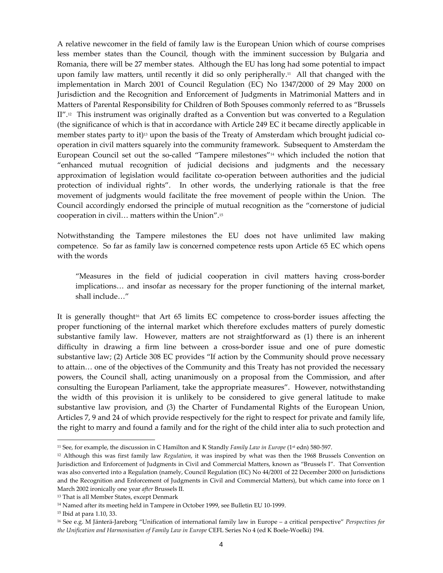A relative newcomer in the field of family law is the European Union which of course comprises less member states than the Council, though with the imminent succession by Bulgaria and Romania, there will be 27 member states. Although the EU has long had some potential to impact upon family law matters, until recently it did so only peripherally.<sup>11</sup> All that changed with the implementation in March 2001 of Council Regulation (EC) No 1347/2000 of 29 May 2000 on Jurisdiction and the Recognition and Enforcement of Judgments in Matrimonial Matters and in Matters of Parental Responsibility for Children of Both Spouses commonly referred to as "Brussels  $II''$ .<sup>12</sup> This instrument was originally drafted as a Convention but was converted to a Regulation (the significance of which is that in accordance with Article 249 EC it became directly applicable in member states party to it)<sup>13</sup> upon the basis of the Treaty of Amsterdam which brought judicial cooperation in civil matters squarely into the community framework. Subsequent to Amsterdam the European Council set out the so-called "Tampere milestones"14 which included the notion that "enhanced mutual recognition of judicial decisions and judgments and the necessary approximation of legislation would facilitate co-operation between authorities and the judicial protection of individual rights". In other words, the underlying rationale is that the free movement of judgments would facilitate the free movement of people within the Union. The Council accordingly endorsed the principle of mutual recognition as the "cornerstone of judicial cooperation in civil… matters within the Union".<sup>15</sup>

Notwithstanding the Tampere milestones the EU does not have unlimited law making competence. So far as family law is concerned competence rests upon Article 65 EC which opens with the words

 "Measures in the field of judicial cooperation in civil matters having cross-border implications… and insofar as necessary for the proper functioning of the internal market, shall include…"

It is generally thought<sup>16</sup> that Art  $65$  limits EC competence to cross-border issues affecting the proper functioning of the internal market which therefore excludes matters of purely domestic substantive family law. However, matters are not straightforward as (1) there is an inherent difficulty in drawing a firm line between a cross-border issue and one of pure domestic substantive law; (2) Article 308 EC provides "If action by the Community should prove necessary to attain… one of the objectives of the Community and this Treaty has not provided the necessary powers, the Council shall, acting unanimously on a proposal from the Commission, and after consulting the European Parliament, take the appropriate measures". However, notwithstanding the width of this provision it is unlikely to be considered to give general latitude to make substantive law provision, and (3) the Charter of Fundamental Rights of the European Union, Articles 7, 9 and 24 of which provide respectively for the right to respect for private and family life, the right to marry and found a family and for the right of the child inter alia to such protection and

l

<sup>&</sup>lt;sup>11</sup> See, for example, the discussion in C Hamilton and K Standly *Family Law in Europe* ( $1<sup>st</sup>$  edn) 580-597.

 $12$  Although this was first family law Regulation, it was inspired by what was then the 1968 Brussels Convention on Jurisdiction and Enforcement of Judgments in Civil and Commercial Matters, known as "Brussels I". That Convention was also converted into a Regulation (namely, Council Regulation (EC) No 44/2001 of 22 December 2000 on Jurisdictions and the Recognition and Enforcement of Judgments in Civil and Commercial Matters), but which came into force on 1 March 2002 ironically one year after Brussels II.

<sup>&</sup>lt;sup>13</sup> That is all Member States, except Denmark

<sup>14</sup> Named after its meeting held in Tampere in October 1999, see Bulletin EU 10-1999.

<sup>15</sup> Ibid at para 1.10, 33.

<sup>&</sup>lt;sup>16</sup> See e.g. M Jänterä-Jareborg "Unification of international family law in Europe – a critical perspective" Perspectives for the Unification and Harmonisation of Family Law in Europe CEFL Series No 4 (ed K Boele-Woelki) 194.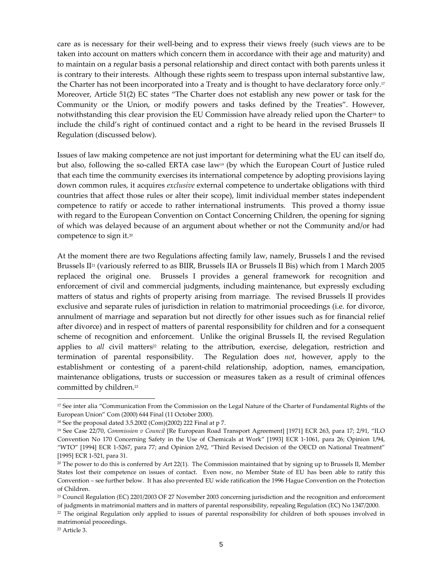care as is necessary for their well-being and to express their views freely (such views are to be taken into account on matters which concern them in accordance with their age and maturity) and to maintain on a regular basis a personal relationship and direct contact with both parents unless it is contrary to their interests. Although these rights seem to trespass upon internal substantive law, the Charter has not been incorporated into a Treaty and is thought to have declaratory force only.<sup>17</sup> Moreover, Article 51(2) EC states "The Charter does not establish any new power or task for the Community or the Union, or modify powers and tasks defined by the Treaties". However, notwithstanding this clear provision the EU Commission have already relied upon the Charter18 to include the child's right of continued contact and a right to be heard in the revised Brussels II Regulation (discussed below).

Issues of law making competence are not just important for determining what the EU can itself do, but also, following the so-called ERTA case law<sup>19</sup> (by which the European Court of Justice ruled that each time the community exercises its international competence by adopting provisions laying down common rules, it acquires *exclusive* external competence to undertake obligations with third countries that affect those rules or alter their scope), limit individual member states independent competence to ratify or accede to rather international instruments. This proved a thorny issue with regard to the European Convention on Contact Concerning Children, the opening for signing of which was delayed because of an argument about whether or not the Community and/or had competence to sign it.<sup>20</sup>

At the moment there are two Regulations affecting family law, namely, Brussels I and the revised Brussels  $\text{II}^{21}$  (variously referred to as BIIR, Brussels IIA or Brussels II Bis) which from 1 March 2005 replaced the original one. Brussels I provides a general framework for recognition and enforcement of civil and commercial judgments, including maintenance, but expressly excluding matters of status and rights of property arising from marriage. The revised Brussels II provides exclusive and separate rules of jurisdiction in relation to matrimonial proceedings (i.e. for divorce, annulment of marriage and separation but not directly for other issues such as for financial relief after divorce) and in respect of matters of parental responsibility for children and for a consequent scheme of recognition and enforcement. Unlike the original Brussels II, the revised Regulation applies to all civil matters<sup>22</sup> relating to the attribution, exercise, delegation, restriction and termination of parental responsibility. The Regulation does not, however, apply to the establishment or contesting of a parent-child relationship, adoption, names, emancipation, maintenance obligations, trusts or succession or measures taken as a result of criminal offences committed by children.<sup>23</sup>

<sup>&</sup>lt;sup>17</sup> See inter alia "Communication From the Commission on the Legal Nature of the Charter of Fundamental Rights of the European Union" Com (2000) 644 Final (11 October 2000).

<sup>18</sup> See the proposal dated 3.5.2002 (Com)(2002) 222 Final at p 7.

<sup>&</sup>lt;sup>19</sup> See Case 22/70, Commission v Council [Re European Road Transport Agreement] [1971] ECR 263, para 17; 2/91, "ILO Convention No 170 Concerning Safety in the Use of Chemicals at Work" [1993] ECR 1-1061, para 26; Opinion 1/94, "WTO" [1994] ECR 1-5267, para 77; and Opinion 2/92, "Third Revised Decision of the OECD on National Treatment" [1995] ECR 1-521, para 31.

 $20$  The power to do this is conferred by Art 22(1). The Commission maintained that by signing up to Brussels II, Member States lost their competence on issues of contact. Even now, no Member State of EU has been able to ratify this Convention – see further below. It has also prevented EU wide ratification the 1996 Hague Convention on the Protection of Children.

<sup>&</sup>lt;sup>21</sup> Council Regulation (EC) 2201/2003 OF 27 November 2003 concerning jurisdiction and the recognition and enforcement of judgments in matrimonial matters and in matters of parental responsibility, repealing Regulation (EC) No 1347/2000.

<sup>&</sup>lt;sup>22</sup> The original Regulation only applied to issues of parental responsibility for children of both spouses involved in matrimonial proceedings.

<sup>23</sup> Article 3.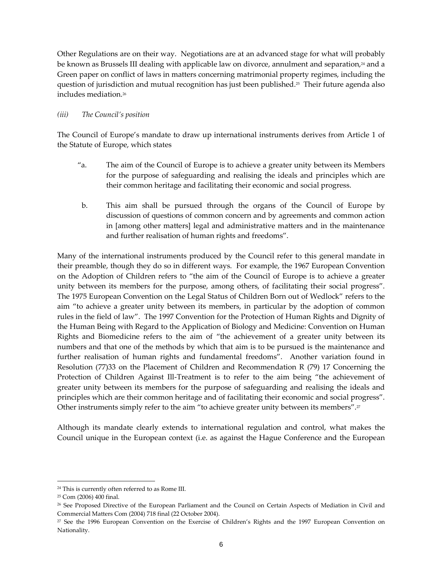Other Regulations are on their way. Negotiations are at an advanced stage for what will probably be known as Brussels III dealing with applicable law on divorce, annulment and separation,<sup>24</sup> and a Green paper on conflict of laws in matters concerning matrimonial property regimes, including the question of jurisdiction and mutual recognition has just been published.25 Their future agenda also includes mediation.<sup>26</sup>

#### (iii) The Council's position

The Council of Europe's mandate to draw up international instruments derives from Article 1 of the Statute of Europe, which states

- "a. The aim of the Council of Europe is to achieve a greater unity between its Members for the purpose of safeguarding and realising the ideals and principles which are their common heritage and facilitating their economic and social progress.
- b. This aim shall be pursued through the organs of the Council of Europe by discussion of questions of common concern and by agreements and common action in [among other matters] legal and administrative matters and in the maintenance and further realisation of human rights and freedoms".

Many of the international instruments produced by the Council refer to this general mandate in their preamble, though they do so in different ways. For example, the 1967 European Convention on the Adoption of Children refers to "the aim of the Council of Europe is to achieve a greater unity between its members for the purpose, among others, of facilitating their social progress". The 1975 European Convention on the Legal Status of Children Born out of Wedlock" refers to the aim "to achieve a greater unity between its members, in particular by the adoption of common rules in the field of law". The 1997 Convention for the Protection of Human Rights and Dignity of the Human Being with Regard to the Application of Biology and Medicine: Convention on Human Rights and Biomedicine refers to the aim of "the achievement of a greater unity between its numbers and that one of the methods by which that aim is to be pursued is the maintenance and further realisation of human rights and fundamental freedoms". Another variation found in Resolution (77)33 on the Placement of Children and Recommendation R (79) 17 Concerning the Protection of Children Against Ill-Treatment is to refer to the aim being "the achievement of greater unity between its members for the purpose of safeguarding and realising the ideals and principles which are their common heritage and of facilitating their economic and social progress". Other instruments simply refer to the aim "to achieve greater unity between its members".<sup>27</sup>

Although its mandate clearly extends to international regulation and control, what makes the Council unique in the European context (i.e. as against the Hague Conference and the European

<sup>24</sup> This is currently often referred to as Rome III.

<sup>25</sup> Com (2006) 400 final.

<sup>&</sup>lt;sup>26</sup> See Proposed Directive of the European Parliament and the Council on Certain Aspects of Mediation in Civil and Commercial Matters Com (2004) 718 final (22 October 2004).

<sup>&</sup>lt;sup>27</sup> See the 1996 European Convention on the Exercise of Children's Rights and the 1997 European Convention on Nationality.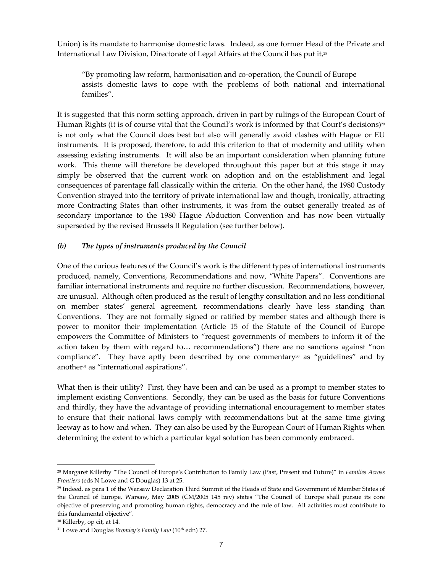Union) is its mandate to harmonise domestic laws. Indeed, as one former Head of the Private and International Law Division, Directorate of Legal Affairs at the Council has put it,<sup>28</sup>

"By promoting law reform, harmonisation and co-operation, the Council of Europe assists domestic laws to cope with the problems of both national and international families".

It is suggested that this norm setting approach, driven in part by rulings of the European Court of Human Rights (it is of course vital that the Council's work is informed by that Court's decisions)<sup>29</sup> is not only what the Council does best but also will generally avoid clashes with Hague or EU instruments. It is proposed, therefore, to add this criterion to that of modernity and utility when assessing existing instruments. It will also be an important consideration when planning future work. This theme will therefore be developed throughout this paper but at this stage it may simply be observed that the current work on adoption and on the establishment and legal consequences of parentage fall classically within the criteria. On the other hand, the 1980 Custody Convention strayed into the territory of private international law and though, ironically, attracting more Contracting States than other instruments, it was from the outset generally treated as of secondary importance to the 1980 Hague Abduction Convention and has now been virtually superseded by the revised Brussels II Regulation (see further below).

#### (b) The types of instruments produced by the Council

One of the curious features of the Council's work is the different types of international instruments produced, namely, Conventions, Recommendations and now, "White Papers". Conventions are familiar international instruments and require no further discussion. Recommendations, however, are unusual. Although often produced as the result of lengthy consultation and no less conditional on member states' general agreement, recommendations clearly have less standing than Conventions. They are not formally signed or ratified by member states and although there is power to monitor their implementation (Article 15 of the Statute of the Council of Europe empowers the Committee of Ministers to "request governments of members to inform it of the action taken by them with regard to… recommendations") there are no sanctions against "non compliance". They have aptly been described by one commentary<sup>30</sup> as "guidelines" and by another31 as "international aspirations".

What then is their utility? First, they have been and can be used as a prompt to member states to implement existing Conventions. Secondly, they can be used as the basis for future Conventions and thirdly, they have the advantage of providing international encouragement to member states to ensure that their national laws comply with recommendations but at the same time giving leeway as to how and when. They can also be used by the European Court of Human Rights when determining the extent to which a particular legal solution has been commonly embraced.

<sup>&</sup>lt;sup>28</sup> Margaret Killerby "The Council of Europe's Contribution to Family Law (Past, Present and Future)" in Families Across Frontiers (eds N Lowe and G Douglas) 13 at 25.

<sup>29</sup> Indeed, as para 1 of the Warsaw Declaration Third Summit of the Heads of State and Government of Member States of the Council of Europe, Warsaw, May 2005 (CM/2005 145 rev) states "The Council of Europe shall pursue its core objective of preserving and promoting human rights, democracy and the rule of law. All activities must contribute to this fundamental objective".

<sup>30</sup> Killerby, op cit, at 14.

 $31$  Lowe and Douglas Bromley's Family Law ( $10<sup>th</sup>$  edn) 27.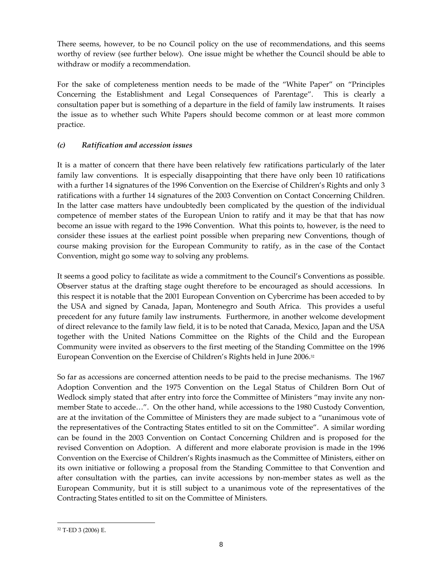There seems, however, to be no Council policy on the use of recommendations, and this seems worthy of review (see further below). One issue might be whether the Council should be able to withdraw or modify a recommendation.

For the sake of completeness mention needs to be made of the "White Paper" on "Principles Concerning the Establishment and Legal Consequences of Parentage". This is clearly a consultation paper but is something of a departure in the field of family law instruments. It raises the issue as to whether such White Papers should become common or at least more common practice.

# (c) Ratification and accession issues

It is a matter of concern that there have been relatively few ratifications particularly of the later family law conventions. It is especially disappointing that there have only been 10 ratifications with a further 14 signatures of the 1996 Convention on the Exercise of Children's Rights and only 3 ratifications with a further 14 signatures of the 2003 Convention on Contact Concerning Children. In the latter case matters have undoubtedly been complicated by the question of the individual competence of member states of the European Union to ratify and it may be that that has now become an issue with regard to the 1996 Convention. What this points to, however, is the need to consider these issues at the earliest point possible when preparing new Conventions, though of course making provision for the European Community to ratify, as in the case of the Contact Convention, might go some way to solving any problems.

It seems a good policy to facilitate as wide a commitment to the Council's Conventions as possible. Observer status at the drafting stage ought therefore to be encouraged as should accessions. In this respect it is notable that the 2001 European Convention on Cybercrime has been acceded to by the USA and signed by Canada, Japan, Montenegro and South Africa. This provides a useful precedent for any future family law instruments. Furthermore, in another welcome development of direct relevance to the family law field, it is to be noted that Canada, Mexico, Japan and the USA together with the United Nations Committee on the Rights of the Child and the European Community were invited as observers to the first meeting of the Standing Committee on the 1996 European Convention on the Exercise of Children's Rights held in June 2006.<sup>32</sup>

So far as accessions are concerned attention needs to be paid to the precise mechanisms. The 1967 Adoption Convention and the 1975 Convention on the Legal Status of Children Born Out of Wedlock simply stated that after entry into force the Committee of Ministers "may invite any nonmember State to accede…". On the other hand, while accessions to the 1980 Custody Convention, are at the invitation of the Committee of Ministers they are made subject to a "unanimous vote of the representatives of the Contracting States entitled to sit on the Committee". A similar wording can be found in the 2003 Convention on Contact Concerning Children and is proposed for the revised Convention on Adoption. A different and more elaborate provision is made in the 1996 Convention on the Exercise of Children's Rights inasmuch as the Committee of Ministers, either on its own initiative or following a proposal from the Standing Committee to that Convention and after consultation with the parties, can invite accessions by non-member states as well as the European Community, but it is still subject to a unanimous vote of the representatives of the Contracting States entitled to sit on the Committee of Ministers.

<sup>32</sup> T-ED 3 (2006) E.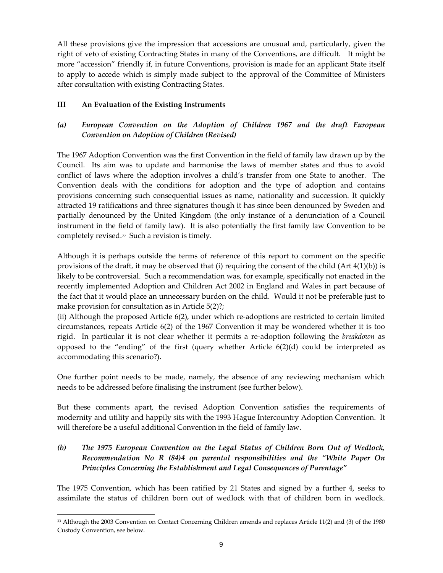All these provisions give the impression that accessions are unusual and, particularly, given the right of veto of existing Contracting States in many of the Conventions, are difficult. It might be more "accession" friendly if, in future Conventions, provision is made for an applicant State itself to apply to accede which is simply made subject to the approval of the Committee of Ministers after consultation with existing Contracting States.

#### III An Evaluation of the Existing Instruments

 $\overline{a}$ 

# (a) European Convention on the Adoption of Children 1967 and the draft European Convention on Adoption of Children (Revised)

The 1967 Adoption Convention was the first Convention in the field of family law drawn up by the Council. Its aim was to update and harmonise the laws of member states and thus to avoid conflict of laws where the adoption involves a child's transfer from one State to another. The Convention deals with the conditions for adoption and the type of adoption and contains provisions concerning such consequential issues as name, nationality and succession. It quickly attracted 19 ratifications and three signatures though it has since been denounced by Sweden and partially denounced by the United Kingdom (the only instance of a denunciation of a Council instrument in the field of family law). It is also potentially the first family law Convention to be completely revised.33 Such a revision is timely.

Although it is perhaps outside the terms of reference of this report to comment on the specific provisions of the draft, it may be observed that (i) requiring the consent of the child  $(Art 4(1)(b))$  is likely to be controversial. Such a recommendation was, for example, specifically not enacted in the recently implemented Adoption and Children Act 2002 in England and Wales in part because of the fact that it would place an unnecessary burden on the child. Would it not be preferable just to make provision for consultation as in Article 5(2)?;

(ii) Although the proposed Article 6(2), under which re-adoptions are restricted to certain limited circumstances, repeats Article 6(2) of the 1967 Convention it may be wondered whether it is too rigid. In particular it is not clear whether it permits a re-adoption following the *breakdown* as opposed to the "ending" of the first (query whether Article  $6(2)(d)$  could be interpreted as accommodating this scenario?).

One further point needs to be made, namely, the absence of any reviewing mechanism which needs to be addressed before finalising the instrument (see further below).

But these comments apart, the revised Adoption Convention satisfies the requirements of modernity and utility and happily sits with the 1993 Hague Intercountry Adoption Convention. It will therefore be a useful additional Convention in the field of family law.

# (b) The 1975 European Convention on the Legal Status of Children Born Out of Wedlock, Recommendation No R (84)4 on parental responsibilities and the "White Paper On Principles Concerning the Establishment and Legal Consequences of Parentage"

The 1975 Convention, which has been ratified by 21 States and signed by a further 4, seeks to assimilate the status of children born out of wedlock with that of children born in wedlock.

<sup>33</sup> Although the 2003 Convention on Contact Concerning Children amends and replaces Article 11(2) and (3) of the 1980 Custody Convention, see below.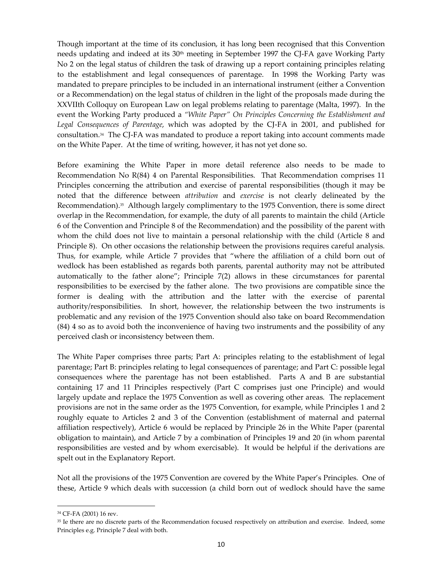Though important at the time of its conclusion, it has long been recognised that this Convention needs updating and indeed at its  $30<sup>th</sup>$  meeting in September 1997 the CJ-FA gave Working Party No 2 on the legal status of children the task of drawing up a report containing principles relating to the establishment and legal consequences of parentage. In 1998 the Working Party was mandated to prepare principles to be included in an international instrument (either a Convention or a Recommendation) on the legal status of children in the light of the proposals made during the XXVIIth Colloquy on European Law on legal problems relating to parentage (Malta, 1997). In the event the Working Party produced a "White Paper" On Principles Concerning the Establishment and Legal Consequences of Parentage, which was adopted by the CJ-FA in 2001, and published for consultation.34 The CJ-FA was mandated to produce a report taking into account comments made on the White Paper. At the time of writing, however, it has not yet done so.

Before examining the White Paper in more detail reference also needs to be made to Recommendation No R(84) 4 on Parental Responsibilities. That Recommendation comprises 11 Principles concerning the attribution and exercise of parental responsibilities (though it may be noted that the difference between attribution and exercise is not clearly delineated by the Recommendation).35 Although largely complimentary to the 1975 Convention, there is some direct overlap in the Recommendation, for example, the duty of all parents to maintain the child (Article 6 of the Convention and Principle 8 of the Recommendation) and the possibility of the parent with whom the child does not live to maintain a personal relationship with the child (Article 8 and Principle 8). On other occasions the relationship between the provisions requires careful analysis. Thus, for example, while Article 7 provides that "where the affiliation of a child born out of wedlock has been established as regards both parents, parental authority may not be attributed automatically to the father alone"; Principle 7(2) allows in these circumstances for parental responsibilities to be exercised by the father alone. The two provisions are compatible since the former is dealing with the attribution and the latter with the exercise of parental authority/responsibilities. In short, however, the relationship between the two instruments is problematic and any revision of the 1975 Convention should also take on board Recommendation (84) 4 so as to avoid both the inconvenience of having two instruments and the possibility of any perceived clash or inconsistency between them.

The White Paper comprises three parts; Part A: principles relating to the establishment of legal parentage; Part B: principles relating to legal consequences of parentage; and Part C: possible legal consequences where the parentage has not been established. Parts A and B are substantial containing 17 and 11 Principles respectively (Part C comprises just one Principle) and would largely update and replace the 1975 Convention as well as covering other areas. The replacement provisions are not in the same order as the 1975 Convention, for example, while Principles 1 and 2 roughly equate to Articles 2 and 3 of the Convention (establishment of maternal and paternal affiliation respectively), Article 6 would be replaced by Principle 26 in the White Paper (parental obligation to maintain), and Article 7 by a combination of Principles 19 and 20 (in whom parental responsibilities are vested and by whom exercisable). It would be helpful if the derivations are spelt out in the Explanatory Report.

Not all the provisions of the 1975 Convention are covered by the White Paper's Principles. One of these, Article 9 which deals with succession (a child born out of wedlock should have the same

<sup>34</sup> CF-FA (2001) 16 rev.

<sup>&</sup>lt;sup>35</sup> Ie there are no discrete parts of the Recommendation focused respectively on attribution and exercise. Indeed, some Principles e.g. Principle 7 deal with both.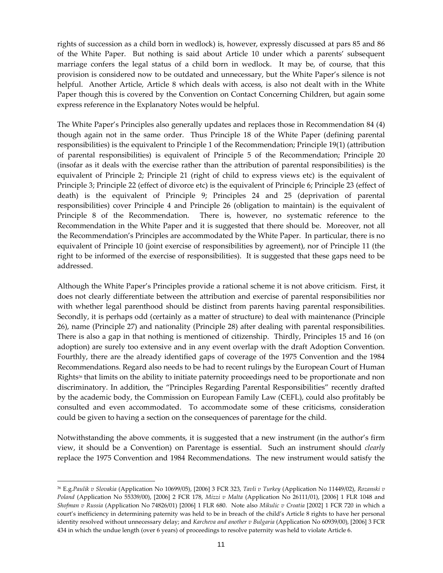rights of succession as a child born in wedlock) is, however, expressly discussed at pars 85 and 86 of the White Paper. But nothing is said about Article 10 under which a parents' subsequent marriage confers the legal status of a child born in wedlock. It may be, of course, that this provision is considered now to be outdated and unnecessary, but the White Paper's silence is not helpful. Another Article, Article 8 which deals with access, is also not dealt with in the White Paper though this is covered by the Convention on Contact Concerning Children, but again some express reference in the Explanatory Notes would be helpful.

The White Paper's Principles also generally updates and replaces those in Recommendation 84 (4) though again not in the same order. Thus Principle 18 of the White Paper (defining parental responsibilities) is the equivalent to Principle 1 of the Recommendation; Principle 19(1) (attribution of parental responsibilities) is equivalent of Principle 5 of the Recommendation; Principle 20 (insofar as it deals with the exercise rather than the attribution of parental responsibilities) is the equivalent of Principle 2; Principle 21 (right of child to express views etc) is the equivalent of Principle 3; Principle 22 (effect of divorce etc) is the equivalent of Principle 6; Principle 23 (effect of death) is the equivalent of Principle 9; Principles 24 and 25 (deprivation of parental responsibilities) cover Principle 4 and Principle 26 (obligation to maintain) is the equivalent of Principle 8 of the Recommendation. There is, however, no systematic reference to the Recommendation in the White Paper and it is suggested that there should be. Moreover, not all the Recommendation's Principles are accommodated by the White Paper. In particular, there is no equivalent of Principle 10 (joint exercise of responsibilities by agreement), nor of Principle 11 (the right to be informed of the exercise of responsibilities). It is suggested that these gaps need to be addressed.

Although the White Paper's Principles provide a rational scheme it is not above criticism. First, it does not clearly differentiate between the attribution and exercise of parental responsibilities nor with whether legal parenthood should be distinct from parents having parental responsibilities. Secondly, it is perhaps odd (certainly as a matter of structure) to deal with maintenance (Principle 26), name (Principle 27) and nationality (Principle 28) after dealing with parental responsibilities. There is also a gap in that nothing is mentioned of citizenship. Thirdly, Principles 15 and 16 (on adoption) are surely too extensive and in any event overlap with the draft Adoption Convention. Fourthly, there are the already identified gaps of coverage of the 1975 Convention and the 1984 Recommendations. Regard also needs to be had to recent rulings by the European Court of Human Rights<sup>36</sup> that limits on the ability to initiate paternity proceedings need to be proportionate and non discriminatory. In addition, the "Principles Regarding Parental Responsibilities" recently drafted by the academic body, the Commission on European Family Law (CEFL), could also profitably be consulted and even accommodated. To accommodate some of these criticisms, consideration could be given to having a section on the consequences of parentage for the child.

Notwithstanding the above comments, it is suggested that a new instrument (in the author's firm view, it should be a Convention) on Parentage is essential. Such an instrument should *clearly* replace the 1975 Convention and 1984 Recommendations. The new instrument would satisfy the

<sup>&</sup>lt;sup>36</sup> E.g.Paulik v Slovakia (Application No 10699/05), [2006] 3 FCR 323, Tavli v Turkey (Application No 11449/02), Rozanski v Poland (Application No 55339/00), [2006] 2 FCR 178, Mizzi v Malta (Application No 26111/01), [2006] 1 FLR 1048 and Shofman v Russia (Application No 74826/01) [2006] 1 FLR 680. Note also Mikulic v Croatia [2002] 1 FCR 720 in which a court's inefficiency in determining paternity was held to be in breach of the child's Article 8 rights to have her personal identity resolved without unnecessary delay; and Karcheva and another v Bulgaria (Application No 60939/00), [2006] 3 FCR 434 in which the undue length (over 6 years) of proceedings to resolve paternity was held to violate Article 6.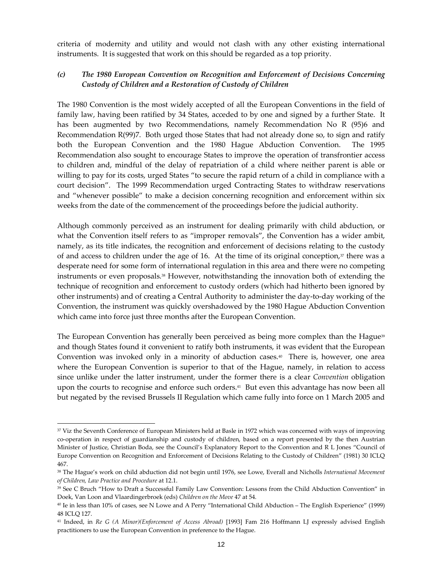criteria of modernity and utility and would not clash with any other existing international instruments. It is suggested that work on this should be regarded as a top priority.

#### (c) The 1980 European Convention on Recognition and Enforcement of Decisions Concerning Custody of Children and a Restoration of Custody of Children

The 1980 Convention is the most widely accepted of all the European Conventions in the field of family law, having been ratified by 34 States, acceded to by one and signed by a further State. It has been augmented by two Recommendations, namely Recommendation No R (95)6 and Recommendation R(99)7. Both urged those States that had not already done so, to sign and ratify both the European Convention and the 1980 Hague Abduction Convention. The 1995 Recommendation also sought to encourage States to improve the operation of transfrontier access to children and, mindful of the delay of repatriation of a child where neither parent is able or willing to pay for its costs, urged States "to secure the rapid return of a child in compliance with a court decision". The 1999 Recommendation urged Contracting States to withdraw reservations and "whenever possible" to make a decision concerning recognition and enforcement within six weeks from the date of the commencement of the proceedings before the judicial authority.

Although commonly perceived as an instrument for dealing primarily with child abduction, or what the Convention itself refers to as "improper removals", the Convention has a wider ambit, namely, as its title indicates, the recognition and enforcement of decisions relating to the custody of and access to children under the age of 16. At the time of its original conception, $37$  there was a desperate need for some form of international regulation in this area and there were no competing instruments or even proposals.38 However, notwithstanding the innovation both of extending the technique of recognition and enforcement to custody orders (which had hitherto been ignored by other instruments) and of creating a Central Authority to administer the day-to-day working of the Convention, the instrument was quickly overshadowed by the 1980 Hague Abduction Convention which came into force just three months after the European Convention.

The European Convention has generally been perceived as being more complex than the Hague<sup>39</sup> and though States found it convenient to ratify both instruments, it was evident that the European Convention was invoked only in a minority of abduction cases. $40$  There is, however, one area where the European Convention is superior to that of the Hague, namely, in relation to access since unlike under the latter instrument, under the former there is a clear *Convention* obligation upon the courts to recognise and enforce such orders. <sup>41</sup> But even this advantage has now been all but negated by the revised Brussels II Regulation which came fully into force on 1 March 2005 and

<sup>37</sup> Viz the Seventh Conference of European Ministers held at Basle in 1972 which was concerned with ways of improving co-operation in respect of guardianship and custody of children, based on a report presented by the then Austrian Minister of Justice, Christian Boda, see the Council's Explanatory Report to the Convention and R L Jones "Council of Europe Convention on Recognition and Enforcement of Decisions Relating to the Custody of Children" (1981) 30 ICLQ 467.

<sup>&</sup>lt;sup>38</sup> The Hague's work on child abduction did not begin until 1976, see Lowe, Everall and Nicholls International Movement of Children, Law Practice and Procedure at 12.1.

<sup>39</sup> See C Bruch "How to Draft a Successful Family Law Convention: Lessons from the Child Abduction Convention" in Doek, Van Loon and Vlaardingerbroek (eds) Children on the Move 47 at 54.

<sup>40</sup> Ie in less than 10% of cases, see N Lowe and A Perry "International Child Abduction – The English Experience" (1999) 48 ICLQ 127.

<sup>&</sup>lt;sup>41</sup> Indeed, in Re G (A Minor)(Enforcement of Access Abroad) [1993] Fam 216 Hoffmann LJ expressly advised English practitioners to use the European Convention in preference to the Hague.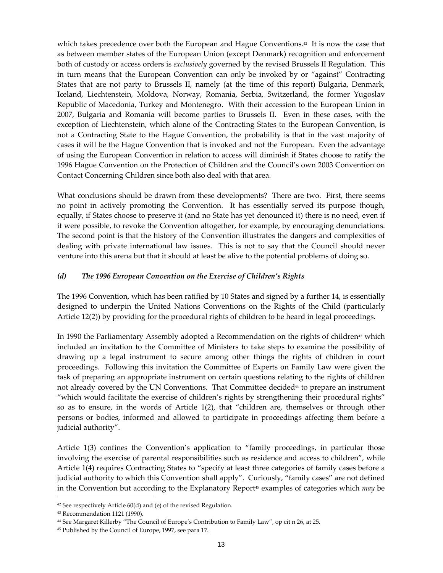which takes precedence over both the European and Hague Conventions. $42$  It is now the case that as between member states of the European Union (except Denmark) recognition and enforcement both of custody or access orders is *exclusively* governed by the revised Brussels II Regulation. This in turn means that the European Convention can only be invoked by or "against" Contracting States that are not party to Brussels II, namely (at the time of this report) Bulgaria, Denmark, Iceland, Liechtenstein, Moldova, Norway, Romania, Serbia, Switzerland, the former Yugoslav Republic of Macedonia, Turkey and Montenegro. With their accession to the European Union in 2007, Bulgaria and Romania will become parties to Brussels II. Even in these cases, with the exception of Liechtenstein, which alone of the Contracting States to the European Convention, is not a Contracting State to the Hague Convention, the probability is that in the vast majority of cases it will be the Hague Convention that is invoked and not the European. Even the advantage of using the European Convention in relation to access will diminish if States choose to ratify the 1996 Hague Convention on the Protection of Children and the Council's own 2003 Convention on Contact Concerning Children since both also deal with that area.

What conclusions should be drawn from these developments? There are two. First, there seems no point in actively promoting the Convention. It has essentially served its purpose though, equally, if States choose to preserve it (and no State has yet denounced it) there is no need, even if it were possible, to revoke the Convention altogether, for example, by encouraging denunciations. The second point is that the history of the Convention illustrates the dangers and complexities of dealing with private international law issues. This is not to say that the Council should never venture into this arena but that it should at least be alive to the potential problems of doing so.

#### (d) The 1996 European Convention on the Exercise of Children's Rights

The 1996 Convention, which has been ratified by 10 States and signed by a further 14, is essentially designed to underpin the United Nations Conventions on the Rights of the Child (particularly Article 12(2)) by providing for the procedural rights of children to be heard in legal proceedings.

In 1990 the Parliamentary Assembly adopted a Recommendation on the rights of children<sup>43</sup> which included an invitation to the Committee of Ministers to take steps to examine the possibility of drawing up a legal instrument to secure among other things the rights of children in court proceedings. Following this invitation the Committee of Experts on Family Law were given the task of preparing an appropriate instrument on certain questions relating to the rights of children not already covered by the UN Conventions. That Committee decided<sup>44</sup> to prepare an instrument "which would facilitate the exercise of children's rights by strengthening their procedural rights" so as to ensure, in the words of Article 1(2), that "children are, themselves or through other persons or bodies, informed and allowed to participate in proceedings affecting them before a judicial authority".

Article 1(3) confines the Convention's application to "family proceedings, in particular those involving the exercise of parental responsibilities such as residence and access to children", while Article 1(4) requires Contracting States to "specify at least three categories of family cases before a judicial authority to which this Convention shall apply". Curiously, "family cases" are not defined in the Convention but according to the Explanatory Report<sup>45</sup> examples of categories which *may* be

 $42$  See respectively Article  $60(d)$  and (e) of the revised Regulation.

<sup>43</sup> Recommendation 1121 (1990).

<sup>44</sup> See Margaret Killerby "The Council of Europe's Contribution to Family Law", op cit n 26, at 25.

<sup>45</sup> Published by the Council of Europe, 1997, see para 17.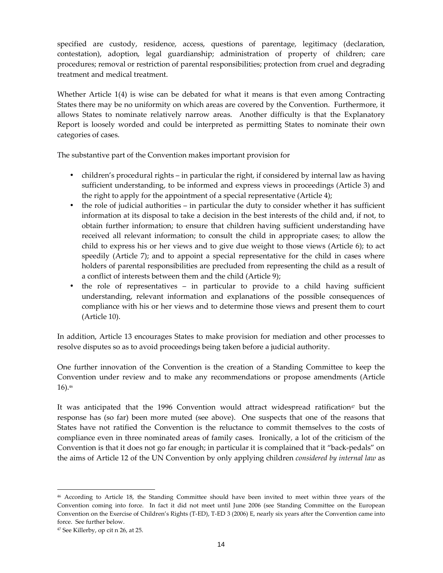specified are custody, residence, access, questions of parentage, legitimacy (declaration, contestation), adoption, legal guardianship; administration of property of children; care procedures; removal or restriction of parental responsibilities; protection from cruel and degrading treatment and medical treatment.

Whether Article 1(4) is wise can be debated for what it means is that even among Contracting States there may be no uniformity on which areas are covered by the Convention. Furthermore, it allows States to nominate relatively narrow areas. Another difficulty is that the Explanatory Report is loosely worded and could be interpreted as permitting States to nominate their own categories of cases.

The substantive part of the Convention makes important provision for

- children's procedural rights in particular the right, if considered by internal law as having sufficient understanding, to be informed and express views in proceedings (Article 3) and the right to apply for the appointment of a special representative (Article 4);
- the role of judicial authorities in particular the duty to consider whether it has sufficient information at its disposal to take a decision in the best interests of the child and, if not, to obtain further information; to ensure that children having sufficient understanding have received all relevant information; to consult the child in appropriate cases; to allow the child to express his or her views and to give due weight to those views (Article 6); to act speedily (Article 7); and to appoint a special representative for the child in cases where holders of parental responsibilities are precluded from representing the child as a result of a conflict of interests between them and the child (Article 9);
- the role of representatives in particular to provide to a child having sufficient understanding, relevant information and explanations of the possible consequences of compliance with his or her views and to determine those views and present them to court (Article 10).

In addition, Article 13 encourages States to make provision for mediation and other processes to resolve disputes so as to avoid proceedings being taken before a judicial authority.

One further innovation of the Convention is the creation of a Standing Committee to keep the Convention under review and to make any recommendations or propose amendments (Article 16).<sup>46</sup>

It was anticipated that the 1996 Convention would attract widespread ratification<sup> $\sigma$ </sup> but the response has (so far) been more muted (see above). One suspects that one of the reasons that States have not ratified the Convention is the reluctance to commit themselves to the costs of compliance even in three nominated areas of family cases. Ironically, a lot of the criticism of the Convention is that it does not go far enough; in particular it is complained that it "back-pedals" on the aims of Article 12 of the UN Convention by only applying children considered by internal law as

1

<sup>46</sup> According to Article 18, the Standing Committee should have been invited to meet within three years of the Convention coming into force. In fact it did not meet until June 2006 (see Standing Committee on the European Convention on the Exercise of Children's Rights (T-ED), T-ED 3 (2006) E, nearly six years after the Convention came into force. See further below.

<sup>47</sup> See Killerby, op cit n 26, at 25.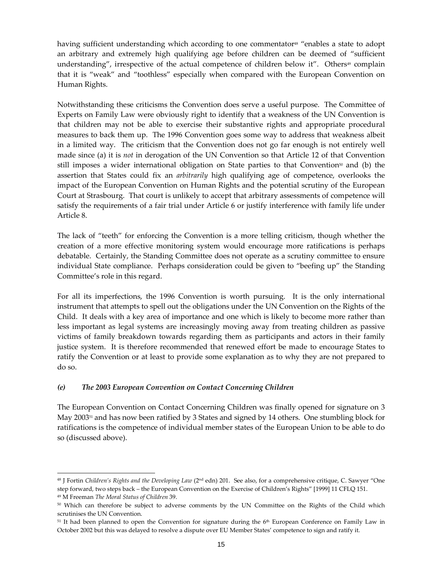having sufficient understanding which according to one commentator<sup>48</sup> "enables a state to adopt an arbitrary and extremely high qualifying age before children can be deemed of "sufficient understanding", irrespective of the actual competence of children below it". Others $49$  complain that it is "weak" and "toothless" especially when compared with the European Convention on Human Rights.

Notwithstanding these criticisms the Convention does serve a useful purpose. The Committee of Experts on Family Law were obviously right to identify that a weakness of the UN Convention is that children may not be able to exercise their substantive rights and appropriate procedural measures to back them up. The 1996 Convention goes some way to address that weakness albeit in a limited way. The criticism that the Convention does not go far enough is not entirely well made since (a) it is *not* in derogation of the UN Convention so that Article 12 of that Convention still imposes a wider international obligation on State parties to that Convention<sup>50</sup> and (b) the assertion that States could fix an *arbitrarily* high qualifying age of competence, overlooks the impact of the European Convention on Human Rights and the potential scrutiny of the European Court at Strasbourg. That court is unlikely to accept that arbitrary assessments of competence will satisfy the requirements of a fair trial under Article 6 or justify interference with family life under Article 8.

The lack of "teeth" for enforcing the Convention is a more telling criticism, though whether the creation of a more effective monitoring system would encourage more ratifications is perhaps debatable. Certainly, the Standing Committee does not operate as a scrutiny committee to ensure individual State compliance. Perhaps consideration could be given to "beefing up" the Standing Committee's role in this regard.

For all its imperfections, the 1996 Convention is worth pursuing. It is the only international instrument that attempts to spell out the obligations under the UN Convention on the Rights of the Child. It deals with a key area of importance and one which is likely to become more rather than less important as legal systems are increasingly moving away from treating children as passive victims of family breakdown towards regarding them as participants and actors in their family justice system. It is therefore recommended that renewed effort be made to encourage States to ratify the Convention or at least to provide some explanation as to why they are not prepared to do so.

#### (e) The 2003 European Convention on Contact Concerning Children

 $\overline{a}$ 

The European Convention on Contact Concerning Children was finally opened for signature on 3 May 2003<sup>51</sup> and has now been ratified by 3 States and signed by 14 others. One stumbling block for ratifications is the competence of individual member states of the European Union to be able to do so (discussed above).

 $48$  J Fortin Children's Rights and the Developing Law ( $2<sup>nd</sup>$  edn) 201. See also, for a comprehensive critique, C. Sawyer "One step forward, two steps back – the European Convention on the Exercise of Children's Rights" [1999] 11 CFLQ 151. <sup>49</sup> M Freeman The Moral Status of Children 39.

<sup>&</sup>lt;sup>50</sup> Which can therefore be subject to adverse comments by the UN Committee on the Rights of the Child which scrutinises the UN Convention.

<sup>&</sup>lt;sup>51</sup> It had been planned to open the Convention for signature during the 6<sup>th</sup> European Conference on Family Law in October 2002 but this was delayed to resolve a dispute over EU Member States' competence to sign and ratify it.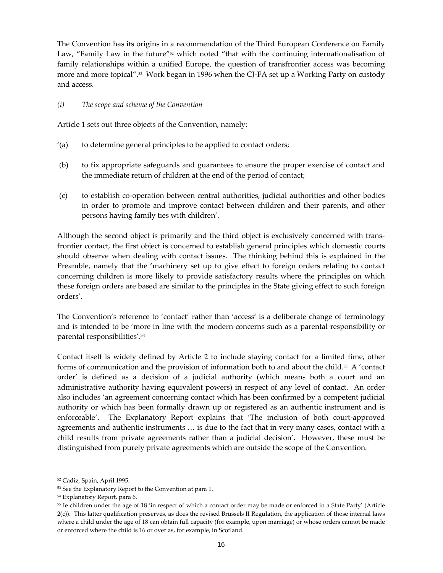The Convention has its origins in a recommendation of the Third European Conference on Family Law, "Family Law in the future" $52$  which noted "that with the continuing internationalisation of family relationships within a unified Europe, the question of transfrontier access was becoming more and more topical".53 Work began in 1996 when the CJ-FA set up a Working Party on custody and access.

#### (i) The scope and scheme of the Convention

Article 1 sets out three objects of the Convention, namely:

- '(a) to determine general principles to be applied to contact orders;
- (b) to fix appropriate safeguards and guarantees to ensure the proper exercise of contact and the immediate return of children at the end of the period of contact;
- (c) to establish co-operation between central authorities, judicial authorities and other bodies in order to promote and improve contact between children and their parents, and other persons having family ties with children'.

Although the second object is primarily and the third object is exclusively concerned with transfrontier contact, the first object is concerned to establish general principles which domestic courts should observe when dealing with contact issues. The thinking behind this is explained in the Preamble, namely that the 'machinery set up to give effect to foreign orders relating to contact concerning children is more likely to provide satisfactory results where the principles on which these foreign orders are based are similar to the principles in the State giving effect to such foreign orders'.

The Convention's reference to 'contact' rather than 'access' is a deliberate change of terminology and is intended to be 'more in line with the modern concerns such as a parental responsibility or parental responsibilities'.<sup>54</sup>

Contact itself is widely defined by Article 2 to include staying contact for a limited time, other forms of communication and the provision of information both to and about the child.55 A 'contact order' is defined as a decision of a judicial authority (which means both a court and an administrative authority having equivalent powers) in respect of any level of contact. An order also includes 'an agreement concerning contact which has been confirmed by a competent judicial authority or which has been formally drawn up or registered as an authentic instrument and is enforceable'. The Explanatory Report explains that 'The inclusion of both court-approved agreements and authentic instruments … is due to the fact that in very many cases, contact with a child results from private agreements rather than a judicial decision'. However, these must be distinguished from purely private agreements which are outside the scope of the Convention.

<sup>52</sup> Cadiz, Spain, April 1995.

<sup>53</sup> See the Explanatory Report to the Convention at para 1.

<sup>54</sup> Explanatory Report, para 6.

<sup>55</sup> Ie children under the age of 18 'in respect of which a contact order may be made or enforced in a State Party' (Article 2(c)). This latter qualification preserves, as does the revised Brussels II Regulation, the application of those internal laws where a child under the age of 18 can obtain full capacity (for example, upon marriage) or whose orders cannot be made or enforced where the child is 16 or over as, for example, in Scotland.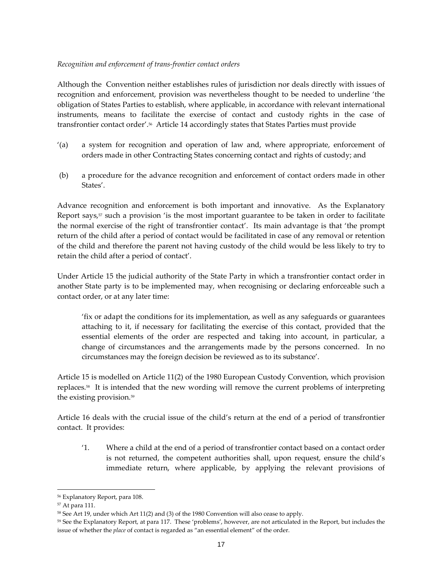#### Recognition and enforcement of trans-frontier contact orders

Although the Convention neither establishes rules of jurisdiction nor deals directly with issues of recognition and enforcement, provision was nevertheless thought to be needed to underline 'the obligation of States Parties to establish, where applicable, in accordance with relevant international instruments, means to facilitate the exercise of contact and custody rights in the case of transfrontier contact order'.56 Article 14 accordingly states that States Parties must provide

- '(a) a system for recognition and operation of law and, where appropriate, enforcement of orders made in other Contracting States concerning contact and rights of custody; and
- (b) a procedure for the advance recognition and enforcement of contact orders made in other States'.

Advance recognition and enforcement is both important and innovative. As the Explanatory Report says, $57$  such a provision 'is the most important guarantee to be taken in order to facilitate the normal exercise of the right of transfrontier contact'. Its main advantage is that 'the prompt return of the child after a period of contact would be facilitated in case of any removal or retention of the child and therefore the parent not having custody of the child would be less likely to try to retain the child after a period of contact'.

Under Article 15 the judicial authority of the State Party in which a transfrontier contact order in another State party is to be implemented may, when recognising or declaring enforceable such a contact order, or at any later time:

'fix or adapt the conditions for its implementation, as well as any safeguards or guarantees attaching to it, if necessary for facilitating the exercise of this contact, provided that the essential elements of the order are respected and taking into account, in particular, a change of circumstances and the arrangements made by the persons concerned. In no circumstances may the foreign decision be reviewed as to its substance'.

Article 15 is modelled on Article 11(2) of the 1980 European Custody Convention, which provision replaces.58 It is intended that the new wording will remove the current problems of interpreting the existing provision.<sup>59</sup>

Article 16 deals with the crucial issue of the child's return at the end of a period of transfrontier contact. It provides:

'1. Where a child at the end of a period of transfrontier contact based on a contact order is not returned, the competent authorities shall, upon request, ensure the child's immediate return, where applicable, by applying the relevant provisions of

1

<sup>56</sup> Explanatory Report, para 108.

<sup>57</sup> At para 111.

<sup>&</sup>lt;sup>58</sup> See Art 19, under which Art 11(2) and (3) of the 1980 Convention will also cease to apply.

<sup>59</sup> See the Explanatory Report, at para 117. These 'problems', however, are not articulated in the Report, but includes the issue of whether the *place* of contact is regarded as "an essential element" of the order.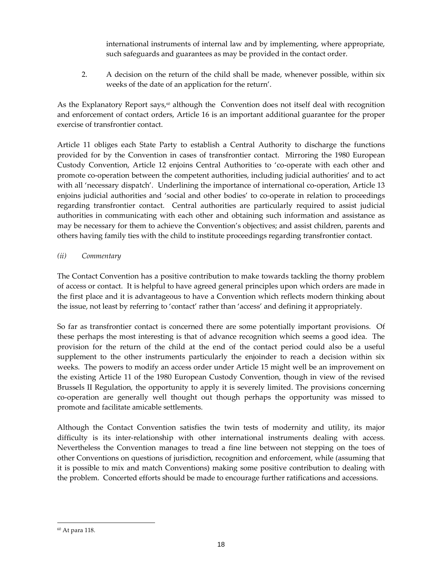international instruments of internal law and by implementing, where appropriate, such safeguards and guarantees as may be provided in the contact order.

2. A decision on the return of the child shall be made, whenever possible, within six weeks of the date of an application for the return'.

As the Explanatory Report says,<sup> $\omega$ </sup> although the Convention does not itself deal with recognition and enforcement of contact orders, Article 16 is an important additional guarantee for the proper exercise of transfrontier contact.

Article 11 obliges each State Party to establish a Central Authority to discharge the functions provided for by the Convention in cases of transfrontier contact. Mirroring the 1980 European Custody Convention, Article 12 enjoins Central Authorities to 'co-operate with each other and promote co-operation between the competent authorities, including judicial authorities' and to act with all 'necessary dispatch'. Underlining the importance of international co-operation, Article 13 enjoins judicial authorities and 'social and other bodies' to co-operate in relation to proceedings regarding transfrontier contact. Central authorities are particularly required to assist judicial authorities in communicating with each other and obtaining such information and assistance as may be necessary for them to achieve the Convention's objectives; and assist children, parents and others having family ties with the child to institute proceedings regarding transfrontier contact.

# (ii) Commentary

The Contact Convention has a positive contribution to make towards tackling the thorny problem of access or contact. It is helpful to have agreed general principles upon which orders are made in the first place and it is advantageous to have a Convention which reflects modern thinking about the issue, not least by referring to 'contact' rather than 'access' and defining it appropriately.

So far as transfrontier contact is concerned there are some potentially important provisions. Of these perhaps the most interesting is that of advance recognition which seems a good idea. The provision for the return of the child at the end of the contact period could also be a useful supplement to the other instruments particularly the enjoinder to reach a decision within six weeks. The powers to modify an access order under Article 15 might well be an improvement on the existing Article 11 of the 1980 European Custody Convention, though in view of the revised Brussels II Regulation, the opportunity to apply it is severely limited. The provisions concerning co-operation are generally well thought out though perhaps the opportunity was missed to promote and facilitate amicable settlements.

Although the Contact Convention satisfies the twin tests of modernity and utility, its major difficulty is its inter-relationship with other international instruments dealing with access. Nevertheless the Convention manages to tread a fine line between not stepping on the toes of other Conventions on questions of jurisdiction, recognition and enforcement, while (assuming that it is possible to mix and match Conventions) making some positive contribution to dealing with the problem. Concerted efforts should be made to encourage further ratifications and accessions.

<sup>60</sup> At para 118.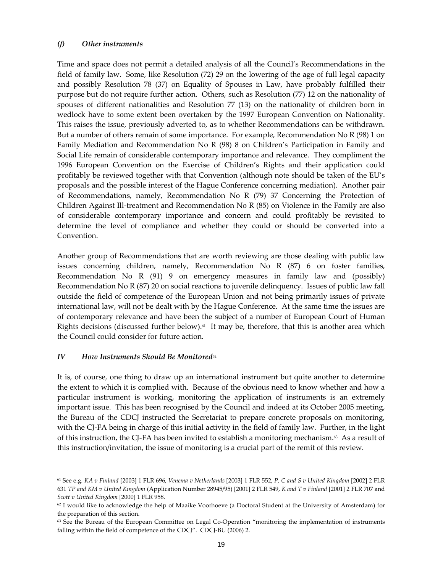#### (f) Other instruments

Time and space does not permit a detailed analysis of all the Council's Recommendations in the field of family law. Some, like Resolution (72) 29 on the lowering of the age of full legal capacity and possibly Resolution 78 (37) on Equality of Spouses in Law, have probably fulfilled their purpose but do not require further action. Others, such as Resolution (77) 12 on the nationality of spouses of different nationalities and Resolution 77 (13) on the nationality of children born in wedlock have to some extent been overtaken by the 1997 European Convention on Nationality. This raises the issue, previously adverted to, as to whether Recommendations can be withdrawn. But a number of others remain of some importance. For example, Recommendation No R (98) 1 on Family Mediation and Recommendation No R (98) 8 on Children's Participation in Family and Social Life remain of considerable contemporary importance and relevance. They compliment the 1996 European Convention on the Exercise of Children's Rights and their application could profitably be reviewed together with that Convention (although note should be taken of the EU's proposals and the possible interest of the Hague Conference concerning mediation). Another pair of Recommendations, namely, Recommendation No R (79) 37 Concerning the Protection of Children Against Ill-treatment and Recommendation No R (85) on Violence in the Family are also of considerable contemporary importance and concern and could profitably be revisited to determine the level of compliance and whether they could or should be converted into a Convention.

Another group of Recommendations that are worth reviewing are those dealing with public law issues concerning children, namely, Recommendation No R (87) 6 on foster families, Recommendation No R (91) 9 on emergency measures in family law and (possibly) Recommendation No R (87) 20 on social reactions to juvenile delinquency. Issues of public law fall outside the field of competence of the European Union and not being primarily issues of private international law, will not be dealt with by the Hague Conference. At the same time the issues are of contemporary relevance and have been the subject of a number of European Court of Human Rights decisions (discussed further below).<sup>61</sup> It may be, therefore, that this is another area which the Council could consider for future action.

#### $IV$  How Instruments Should Be Monitored<sup>62</sup>

 $\overline{a}$ 

It is, of course, one thing to draw up an international instrument but quite another to determine the extent to which it is complied with. Because of the obvious need to know whether and how a particular instrument is working, monitoring the application of instruments is an extremely important issue. This has been recognised by the Council and indeed at its October 2005 meeting, the Bureau of the CDCJ instructed the Secretariat to prepare concrete proposals on monitoring, with the CJ-FA being in charge of this initial activity in the field of family law. Further, in the light of this instruction, the CJ-FA has been invited to establish a monitoring mechanism. $63$  As a result of this instruction/invitation, the issue of monitoring is a crucial part of the remit of this review.

<sup>61</sup> See e.g. KA v Finland [2003] 1 FLR 696, Venema v Netherlands [2003] 1 FLR 552, P, C and S v United Kingdom [2002] 2 FLR 631 TP and KM v United Kingdom (Application Number 28945/95) [2001] 2 FLR 549, K and T v Finland [2001] 2 FLR 707 and Scott v United Kingdom [2000] 1 FLR 958.

 $62$  I would like to acknowledge the help of Maaike Voorhoeve (a Doctoral Student at the University of Amsterdam) for the preparation of this section.

<sup>&</sup>lt;sup>63</sup> See the Bureau of the European Committee on Legal Co-Operation "monitoring the implementation of instruments falling within the field of competence of the CDCJ". CDCJ-BU (2006) 2.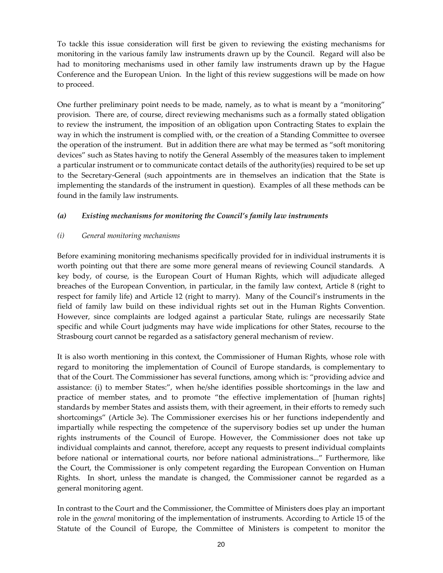To tackle this issue consideration will first be given to reviewing the existing mechanisms for monitoring in the various family law instruments drawn up by the Council. Regard will also be had to monitoring mechanisms used in other family law instruments drawn up by the Hague Conference and the European Union. In the light of this review suggestions will be made on how to proceed.

One further preliminary point needs to be made, namely, as to what is meant by a "monitoring" provision. There are, of course, direct reviewing mechanisms such as a formally stated obligation to review the instrument, the imposition of an obligation upon Contracting States to explain the way in which the instrument is complied with, or the creation of a Standing Committee to oversee the operation of the instrument. But in addition there are what may be termed as "soft monitoring devices" such as States having to notify the General Assembly of the measures taken to implement a particular instrument or to communicate contact details of the authority(ies) required to be set up to the Secretary-General (such appointments are in themselves an indication that the State is implementing the standards of the instrument in question). Examples of all these methods can be found in the family law instruments.

#### (a) Existing mechanisms for monitoring the Council's family law instruments

#### (i) General monitoring mechanisms

Before examining monitoring mechanisms specifically provided for in individual instruments it is worth pointing out that there are some more general means of reviewing Council standards. A key body, of course, is the European Court of Human Rights, which will adjudicate alleged breaches of the European Convention, in particular, in the family law context, Article 8 (right to respect for family life) and Article 12 (right to marry). Many of the Council's instruments in the field of family law build on these individual rights set out in the Human Rights Convention. However, since complaints are lodged against a particular State, rulings are necessarily State specific and while Court judgments may have wide implications for other States, recourse to the Strasbourg court cannot be regarded as a satisfactory general mechanism of review.

It is also worth mentioning in this context, the Commissioner of Human Rights, whose role with regard to monitoring the implementation of Council of Europe standards, is complementary to that of the Court. The Commissioner has several functions, among which is: "providing advice and assistance: (i) to member States:", when he/she identifies possible shortcomings in the law and practice of member states, and to promote "the effective implementation of [human rights] standards by member States and assists them, with their agreement, in their efforts to remedy such shortcomings" (Article 3e). The Commissioner exercises his or her functions independently and impartially while respecting the competence of the supervisory bodies set up under the human rights instruments of the Council of Europe. However, the Commissioner does not take up individual complaints and cannot, therefore, accept any requests to present individual complaints before national or international courts, nor before national administrations..." Furthermore, like the Court, the Commissioner is only competent regarding the European Convention on Human Rights. In short, unless the mandate is changed, the Commissioner cannot be regarded as a general monitoring agent.

In contrast to the Court and the Commissioner, the Committee of Ministers does play an important role in the *general* monitoring of the implementation of instruments. According to Article 15 of the Statute of the Council of Europe, the Committee of Ministers is competent to monitor the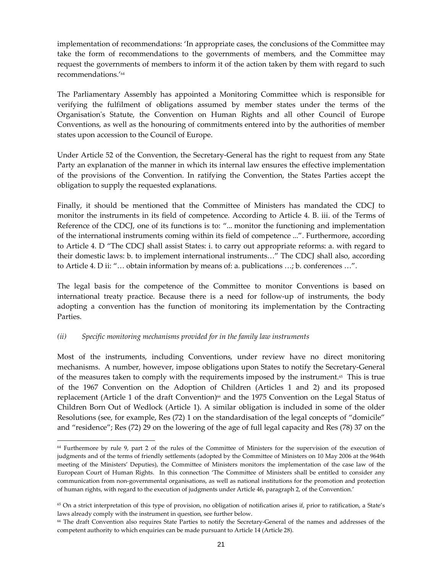implementation of recommendations: 'In appropriate cases, the conclusions of the Committee may take the form of recommendations to the governments of members, and the Committee may request the governments of members to inform it of the action taken by them with regard to such recommendations.'<sup>64</sup>

The Parliamentary Assembly has appointed a Monitoring Committee which is responsible for verifying the fulfilment of obligations assumed by member states under the terms of the Organisation's Statute, the Convention on Human Rights and all other Council of Europe Conventions, as well as the honouring of commitments entered into by the authorities of member states upon accession to the Council of Europe.

Under Article 52 of the Convention, the Secretary-General has the right to request from any State Party an explanation of the manner in which its internal law ensures the effective implementation of the provisions of the Convention. In ratifying the Convention, the States Parties accept the obligation to supply the requested explanations.

Finally, it should be mentioned that the Committee of Ministers has mandated the CDCJ to monitor the instruments in its field of competence. According to Article 4. B. iii. of the Terms of Reference of the CDCJ, one of its functions is to: "... monitor the functioning and implementation of the international instruments coming within its field of competence ...". Furthermore, according to Article 4. D "The CDCJ shall assist States: i. to carry out appropriate reforms: a. with regard to their domestic laws: b. to implement international instruments…" The CDCJ shall also, according to Article 4. D ii: "… obtain information by means of: a. publications …; b. conferences …".

The legal basis for the competence of the Committee to monitor Conventions is based on international treaty practice. Because there is a need for follow-up of instruments, the body adopting a convention has the function of monitoring its implementation by the Contracting Parties.

#### (ii) Specific monitoring mechanisms provided for in the family law instruments

 $\overline{a}$ 

Most of the instruments, including Conventions, under review have no direct monitoring mechanisms. A number, however, impose obligations upon States to notify the Secretary-General of the measures taken to comply with the requirements imposed by the instrument.<sup> $65$ </sup> This is true of the 1967 Convention on the Adoption of Children (Articles 1 and 2) and its proposed replacement (Article 1 of the draft Convention)<sup>66</sup> and the 1975 Convention on the Legal Status of Children Born Out of Wedlock (Article 1). A similar obligation is included in some of the older Resolutions (see, for example, Res (72) 1 on the standardisation of the legal concepts of "domicile" and "residence"; Res (72) 29 on the lowering of the age of full legal capacity and Res (78) 37 on the

<sup>64</sup> Furthermore by rule 9, part 2 of the rules of the Committee of Ministers for the supervision of the execution of judgments and of the terms of friendly settlements (adopted by the Committee of Ministers on 10 May 2006 at the 964th meeting of the Ministers' Deputies), the Committee of Ministers monitors the implementation of the case law of the European Court of Human Rights. In this connection 'The Committee of Ministers shall be entitled to consider any communication from non-governmental organisations, as well as national institutions for the promotion and protection of human rights, with regard to the execution of judgments under Article 46, paragraph 2, of the Convention.'

<sup>65</sup> On a strict interpretation of this type of provision, no obligation of notification arises if, prior to ratification, a State's laws already comply with the instrument in question, see further below.

<sup>66</sup> The draft Convention also requires State Parties to notify the Secretary-General of the names and addresses of the competent authority to which enquiries can be made pursuant to Article 14 (Article 28).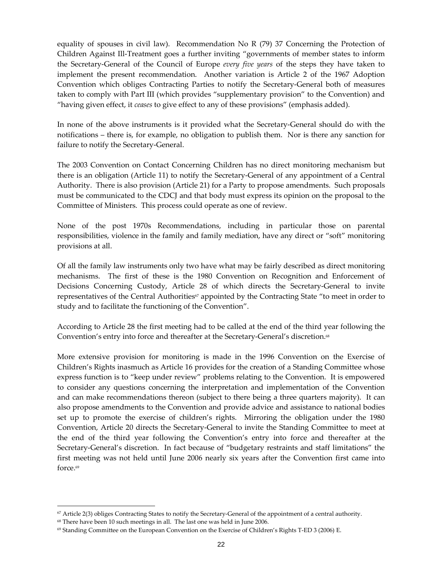equality of spouses in civil law). Recommendation No R (79) 37 Concerning the Protection of Children Against Ill-Treatment goes a further inviting "governments of member states to inform the Secretary-General of the Council of Europe every five years of the steps they have taken to implement the present recommendation. Another variation is Article 2 of the 1967 Adoption Convention which obliges Contracting Parties to notify the Secretary-General both of measures taken to comply with Part III (which provides "supplementary provision" to the Convention) and "having given effect, it *ceases* to give effect to any of these provisions" (emphasis added).

In none of the above instruments is it provided what the Secretary-General should do with the notifications – there is, for example, no obligation to publish them. Nor is there any sanction for failure to notify the Secretary-General.

The 2003 Convention on Contact Concerning Children has no direct monitoring mechanism but there is an obligation (Article 11) to notify the Secretary-General of any appointment of a Central Authority. There is also provision (Article 21) for a Party to propose amendments. Such proposals must be communicated to the CDCJ and that body must express its opinion on the proposal to the Committee of Ministers. This process could operate as one of review.

None of the post 1970s Recommendations, including in particular those on parental responsibilities, violence in the family and family mediation, have any direct or "soft" monitoring provisions at all.

Of all the family law instruments only two have what may be fairly described as direct monitoring mechanisms. The first of these is the 1980 Convention on Recognition and Enforcement of Decisions Concerning Custody, Article 28 of which directs the Secretary-General to invite representatives of the Central Authorities<sup>67</sup> appointed by the Contracting State "to meet in order to study and to facilitate the functioning of the Convention".

According to Article 28 the first meeting had to be called at the end of the third year following the Convention's entry into force and thereafter at the Secretary-General's discretion.<sup>68</sup>

More extensive provision for monitoring is made in the 1996 Convention on the Exercise of Children's Rights inasmuch as Article 16 provides for the creation of a Standing Committee whose express function is to "keep under review" problems relating to the Convention. It is empowered to consider any questions concerning the interpretation and implementation of the Convention and can make recommendations thereon (subject to there being a three quarters majority). It can also propose amendments to the Convention and provide advice and assistance to national bodies set up to promote the exercise of children's rights. Mirroring the obligation under the 1980 Convention, Article 20 directs the Secretary-General to invite the Standing Committee to meet at the end of the third year following the Convention's entry into force and thereafter at the Secretary-General's discretion. In fact because of "budgetary restraints and staff limitations" the first meeting was not held until June 2006 nearly six years after the Convention first came into force.<sup>69</sup>

 $67$  Article 2(3) obliges Contracting States to notify the Secretary-General of the appointment of a central authority.

<sup>68</sup> There have been 10 such meetings in all. The last one was held in June 2006.

<sup>69</sup> Standing Committee on the European Convention on the Exercise of Children's Rights T-ED 3 (2006) E.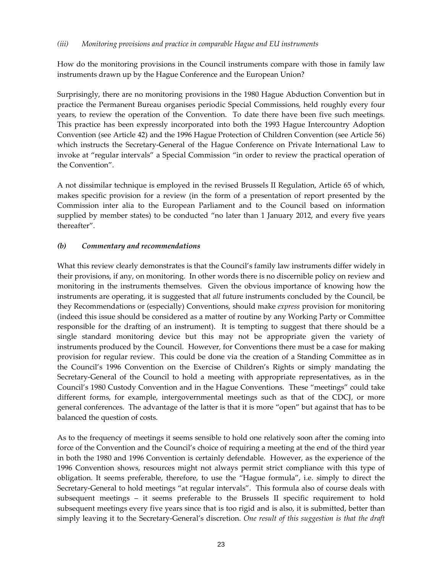#### (iii) Monitoring provisions and practice in comparable Hague and EU instruments

How do the monitoring provisions in the Council instruments compare with those in family law instruments drawn up by the Hague Conference and the European Union?

Surprisingly, there are no monitoring provisions in the 1980 Hague Abduction Convention but in practice the Permanent Bureau organises periodic Special Commissions, held roughly every four years, to review the operation of the Convention. To date there have been five such meetings. This practice has been expressly incorporated into both the 1993 Hague Intercountry Adoption Convention (see Article 42) and the 1996 Hague Protection of Children Convention (see Article 56) which instructs the Secretary-General of the Hague Conference on Private International Law to invoke at "regular intervals" a Special Commission "in order to review the practical operation of the Convention".

A not dissimilar technique is employed in the revised Brussels II Regulation, Article 65 of which, makes specific provision for a review (in the form of a presentation of report presented by the Commission inter alia to the European Parliament and to the Council based on information supplied by member states) to be conducted "no later than 1 January 2012, and every five years thereafter".

#### (b) Commentary and recommendations

What this review clearly demonstrates is that the Council's family law instruments differ widely in their provisions, if any, on monitoring. In other words there is no discernible policy on review and monitoring in the instruments themselves. Given the obvious importance of knowing how the instruments are operating, it is suggested that *all* future instruments concluded by the Council, be they Recommendations or (especially) Conventions, should make *express* provision for monitoring (indeed this issue should be considered as a matter of routine by any Working Party or Committee responsible for the drafting of an instrument). It is tempting to suggest that there should be a single standard monitoring device but this may not be appropriate given the variety of instruments produced by the Council. However, for Conventions there must be a case for making provision for regular review. This could be done via the creation of a Standing Committee as in the Council's 1996 Convention on the Exercise of Children's Rights or simply mandating the Secretary-General of the Council to hold a meeting with appropriate representatives, as in the Council's 1980 Custody Convention and in the Hague Conventions. These "meetings" could take different forms, for example, intergovernmental meetings such as that of the CDCJ, or more general conferences. The advantage of the latter is that it is more "open" but against that has to be balanced the question of costs.

As to the frequency of meetings it seems sensible to hold one relatively soon after the coming into force of the Convention and the Council's choice of requiring a meeting at the end of the third year in both the 1980 and 1996 Convention is certainly defendable. However, as the experience of the 1996 Convention shows, resources might not always permit strict compliance with this type of obligation. It seems preferable, therefore, to use the "Hague formula", i.e. simply to direct the Secretary-General to hold meetings "at regular intervals". This formula also of course deals with subsequent meetings – it seems preferable to the Brussels II specific requirement to hold subsequent meetings every five years since that is too rigid and is also, it is submitted, better than simply leaving it to the Secretary-General's discretion. One result of this suggestion is that the draft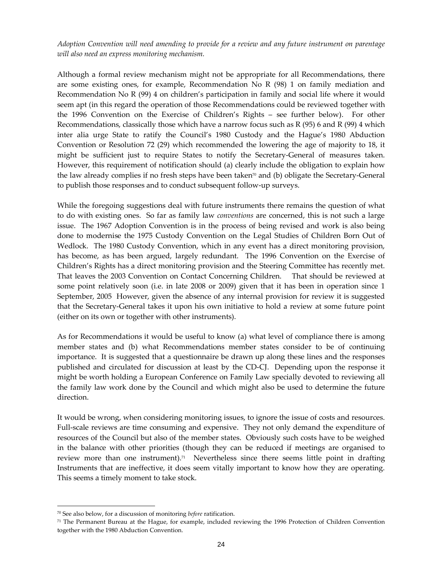Adoption Convention will need amending to provide for a review and any future instrument on parentage will also need an express monitoring mechanism.

Although a formal review mechanism might not be appropriate for all Recommendations, there are some existing ones, for example, Recommendation No R (98) 1 on family mediation and Recommendation No R (99) 4 on children's participation in family and social life where it would seem apt (in this regard the operation of those Recommendations could be reviewed together with the 1996 Convention on the Exercise of Children's Rights – see further below). For other Recommendations, classically those which have a narrow focus such as R (95) 6 and R (99) 4 which inter alia urge State to ratify the Council's 1980 Custody and the Hague's 1980 Abduction Convention or Resolution 72 (29) which recommended the lowering the age of majority to 18, it might be sufficient just to require States to notify the Secretary-General of measures taken. However, this requirement of notification should (a) clearly include the obligation to explain how the law already complies if no fresh steps have been taken $\pi$  and (b) obligate the Secretary-General to publish those responses and to conduct subsequent follow-up surveys.

While the foregoing suggestions deal with future instruments there remains the question of what to do with existing ones. So far as family law conventions are concerned, this is not such a large issue. The 1967 Adoption Convention is in the process of being revised and work is also being done to modernise the 1975 Custody Convention on the Legal Studies of Children Born Out of Wedlock. The 1980 Custody Convention, which in any event has a direct monitoring provision, has become, as has been argued, largely redundant. The 1996 Convention on the Exercise of Children's Rights has a direct monitoring provision and the Steering Committee has recently met. That leaves the 2003 Convention on Contact Concerning Children. That should be reviewed at some point relatively soon (i.e. in late 2008 or 2009) given that it has been in operation since 1 September, 2005 However, given the absence of any internal provision for review it is suggested that the Secretary-General takes it upon his own initiative to hold a review at some future point (either on its own or together with other instruments).

As for Recommendations it would be useful to know (a) what level of compliance there is among member states and (b) what Recommendations member states consider to be of continuing importance. It is suggested that a questionnaire be drawn up along these lines and the responses published and circulated for discussion at least by the CD-CJ. Depending upon the response it might be worth holding a European Conference on Family Law specially devoted to reviewing all the family law work done by the Council and which might also be used to determine the future direction.

It would be wrong, when considering monitoring issues, to ignore the issue of costs and resources. Full-scale reviews are time consuming and expensive. They not only demand the expenditure of resources of the Council but also of the member states. Obviously such costs have to be weighed in the balance with other priorities (though they can be reduced if meetings are organised to review more than one instrument).<sup>71</sup> Nevertheless since there seems little point in drafting Instruments that are ineffective, it does seem vitally important to know how they are operating. This seems a timely moment to take stock.

 $70$  See also below, for a discussion of monitoring *before* ratification.

<sup>71</sup> The Permanent Bureau at the Hague, for example, included reviewing the 1996 Protection of Children Convention together with the 1980 Abduction Convention.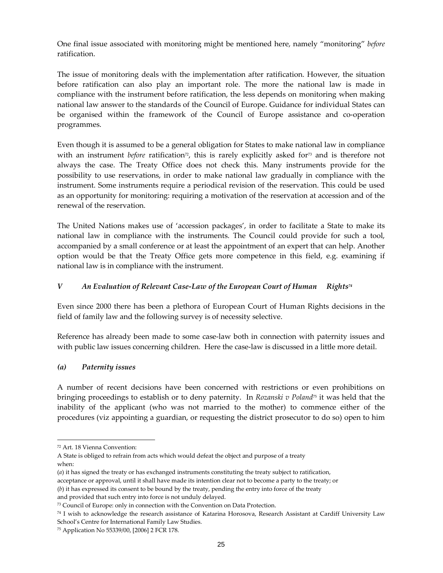One final issue associated with monitoring might be mentioned here, namely "monitoring" before ratification.

The issue of monitoring deals with the implementation after ratification. However, the situation before ratification can also play an important role. The more the national law is made in compliance with the instrument before ratification, the less depends on monitoring when making national law answer to the standards of the Council of Europe. Guidance for individual States can be organised within the framework of the Council of Europe assistance and co-operation programmes.

Even though it is assumed to be a general obligation for States to make national law in compliance with an instrument before ratification<sup>72</sup>, this is rarely explicitly asked for<sup>73</sup> and is therefore not always the case. The Treaty Office does not check this. Many instruments provide for the possibility to use reservations, in order to make national law gradually in compliance with the instrument. Some instruments require a periodical revision of the reservation. This could be used as an opportunity for monitoring: requiring a motivation of the reservation at accession and of the renewal of the reservation.

The United Nations makes use of 'accession packages', in order to facilitate a State to make its national law in compliance with the instruments. The Council could provide for such a tool, accompanied by a small conference or at least the appointment of an expert that can help. Another option would be that the Treaty Office gets more competence in this field, e.g. examining if national law is in compliance with the instrument.

# V An Evaluation of Relevant Case-Law of the European Court of Human Rights<sup>74</sup>

Even since 2000 there has been a plethora of European Court of Human Rights decisions in the field of family law and the following survey is of necessity selective.

Reference has already been made to some case-law both in connection with paternity issues and with public law issues concerning children. Here the case-law is discussed in a little more detail.

# (a) Paternity issues

A number of recent decisions have been concerned with restrictions or even prohibitions on bringing proceedings to establish or to deny paternity. In Rozanski v Poland<sup>75</sup> it was held that the inability of the applicant (who was not married to the mother) to commence either of the procedures (viz appointing a guardian, or requesting the district prosecutor to do so) open to him

l

<sup>72</sup> Art. 18 Vienna Convention:

A State is obliged to refrain from acts which would defeat the object and purpose of a treaty when:

<sup>(</sup>a) it has signed the treaty or has exchanged instruments constituting the treaty subject to ratification,

acceptance or approval, until it shall have made its intention clear not to become a party to the treaty; or

<sup>(</sup>b) it has expressed its consent to be bound by the treaty, pending the entry into force of the treaty

and provided that such entry into force is not unduly delayed.

<sup>73</sup> Council of Europe: only in connection with the Convention on Data Protection.

<sup>74</sup> I wish to acknowledge the research assistance of Katarina Horosova, Research Assistant at Cardiff University Law School's Centre for International Family Law Studies.

<sup>75</sup> Application No 55339/00, [2006] 2 FCR 178.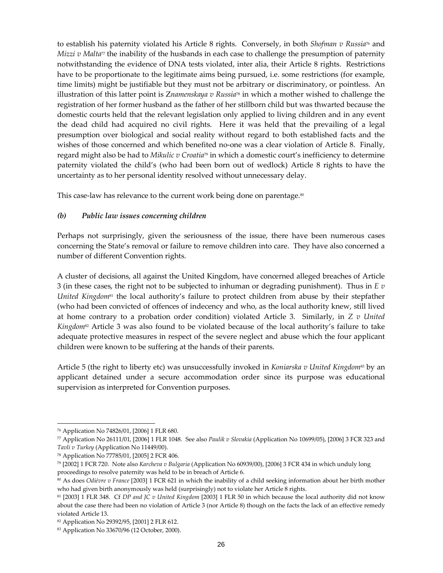to establish his paternity violated his Article 8 rights. Conversely, in both Shofman v Russia<sup>76</sup> and *Mizzi v Malta*<sup>77</sup> the inability of the husbands in each case to challenge the presumption of paternity notwithstanding the evidence of DNA tests violated, inter alia, their Article 8 rights. Restrictions have to be proportionate to the legitimate aims being pursued, i.e. some restrictions (for example, time limits) might be justifiable but they must not be arbitrary or discriminatory, or pointless. An illustration of this latter point is Znamenskaya  $v$  Russia<sup>78</sup> in which a mother wished to challenge the registration of her former husband as the father of her stillborn child but was thwarted because the domestic courts held that the relevant legislation only applied to living children and in any event the dead child had acquired no civil rights. Here it was held that the prevailing of a legal presumption over biological and social reality without regard to both established facts and the wishes of those concerned and which benefited no-one was a clear violation of Article 8. Finally, regard might also be had to Mikulic  $v$  Croatia<sup>79</sup> in which a domestic court's inefficiency to determine paternity violated the child's (who had been born out of wedlock) Article 8 rights to have the uncertainty as to her personal identity resolved without unnecessary delay.

This case-law has relevance to the current work being done on parentage.<sup>80</sup>

#### (b) Public law issues concerning children

Perhaps not surprisingly, given the seriousness of the issue, there have been numerous cases concerning the State's removal or failure to remove children into care. They have also concerned a number of different Convention rights.

A cluster of decisions, all against the United Kingdom, have concerned alleged breaches of Article 3 (in these cases, the right not to be subjected to inhuman or degrading punishment). Thus in  $E \nu$ United Kingdom<sup>81</sup> the local authority's failure to protect children from abuse by their stepfather (who had been convicted of offences of indecency and who, as the local authority knew, still lived at home contrary to a probation order condition) violated Article 3. Similarly, in Z v United Kingdom<sup>82</sup> Article 3 was also found to be violated because of the local authority's failure to take adequate protective measures in respect of the severe neglect and abuse which the four applicant children were known to be suffering at the hands of their parents.

Article 5 (the right to liberty etc) was unsuccessfully invoked in Koniarska v United Kingdom<sup>83</sup> by an applicant detained under a secure accommodation order since its purpose was educational supervision as interpreted for Convention purposes.

<sup>76</sup> Application No 74826/01, [2006] 1 FLR 680.

 $\%$  Application No 26111/01, [2006] 1 FLR 1048. See also Paulik v Slovakia (Application No 10699/05), [2006] 3 FCR 323 and Tavli v Turkey (Application No 11449/00).

<sup>78</sup> Application No 77785/01, [2005] 2 FCR 406.

<sup>79</sup> [2002] 1 FCR 720. Note also Karcheva v Bulgaria (Application No 60939/00), [2006] 3 FCR 434 in which unduly long proceedings to resolve paternity was held to be in breach of Article 6.

<sup>80</sup> As does Odiévre v France [2003] 1 FCR 621 in which the inability of a child seeking information about her birth mother who had given birth anonymously was held (surprisingly) not to violate her Article 8 rights.

<sup>81 [2003] 1</sup> FLR 348. Cf DP and JC v United Kingdom [2003] 1 FLR 50 in which because the local authority did not know about the case there had been no violation of Article 3 (nor Article 8) though on the facts the lack of an effective remedy violated Article 13.

<sup>82</sup> Application No 29392/95, [2001] 2 FLR 612.

<sup>83</sup> Application No 33670/96 (12 October, 2000).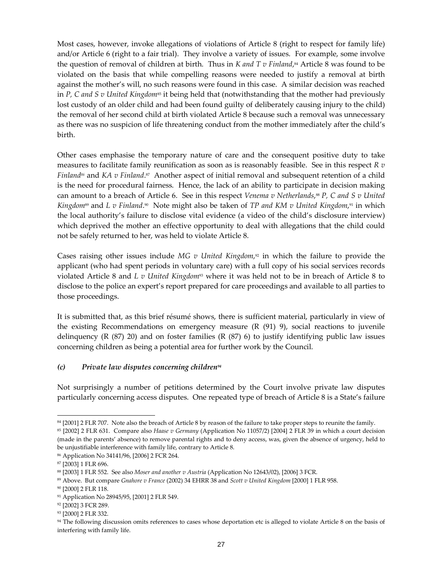Most cases, however, invoke allegations of violations of Article 8 (right to respect for family life) and/or Article 6 (right to a fair trial). They involve a variety of issues. For example, some involve the question of removal of children at birth. Thus in *K and T v Finland*,<sup>84</sup> Article 8 was found to be violated on the basis that while compelling reasons were needed to justify a removal at birth against the mother's will, no such reasons were found in this case. A similar decision was reached in P, C and S v United Kingdom<sup>85</sup> it being held that (notwithstanding that the mother had previously lost custody of an older child and had been found guilty of deliberately causing injury to the child) the removal of her second child at birth violated Article 8 because such a removal was unnecessary as there was no suspicion of life threatening conduct from the mother immediately after the child's birth.

Other cases emphasise the temporary nature of care and the consequent positive duty to take measures to facilitate family reunification as soon as is reasonably feasible. See in this respect  $R \, v$ *Finland*<sup>*s*</sup> and *KA v Finland*.<sup>*s*</sup> Another aspect of initial removal and subsequent retention of a child is the need for procedural fairness. Hence, the lack of an ability to participate in decision making can amount to a breach of Article 6. See in this respect Venema v Netherlands,<sup>88</sup> P, C and S v United Kingdom<sup>89</sup> and L v Finland.<sup>90</sup> Note might also be taken of TP and KM v United Kingdom,<sup>91</sup> in which the local authority's failure to disclose vital evidence (a video of the child's disclosure interview) which deprived the mother an effective opportunity to deal with allegations that the child could not be safely returned to her, was held to violate Article 8.

Cases raising other issues include MG  $v$  United Kingdom,<sup>92</sup> in which the failure to provide the applicant (who had spent periods in voluntary care) with a full copy of his social services records violated Article 8 and L v United Kingdom<sup>93</sup> where it was held not to be in breach of Article 8 to disclose to the police an expert's report prepared for care proceedings and available to all parties to those proceedings.

It is submitted that, as this brief résumé shows, there is sufficient material, particularly in view of the existing Recommendations on emergency measure  $(R (91) 9)$ , social reactions to juvenile delinquency (R  $(87)$  20) and on foster families (R  $(87)$  6) to justify identifying public law issues concerning children as being a potential area for further work by the Council.

#### $(c)$  Private law disputes concerning children<sup>94</sup>

Not surprisingly a number of petitions determined by the Court involve private law disputes particularly concerning access disputes. One repeated type of breach of Article 8 is a State's failure

<sup>84 [2001] 2</sup> FLR 707. Note also the breach of Article 8 by reason of the failure to take proper steps to reunite the family.

<sup>&</sup>lt;sup>85</sup> [2002] 2 FLR 631. Compare also Haase v Germany (Application No 11057/2) [2004] 2 FLR 39 in which a court decision (made in the parents' absence) to remove parental rights and to deny access, was, given the absence of urgency, held to be unjustifiable interference with family life, contrary to Article 8.

<sup>86</sup> Application No 34141/96, [2006] 2 FCR 264.

<sup>87</sup> [2003] 1 FLR 696.

<sup>88 [2003] 1</sup> FLR 552. See also Moser and another v Austria (Application No 12643/02), [2006] 3 FCR.

<sup>89</sup> Above. But compare Gnahore v France (2002) 34 EHRR 38 and Scott v United Kingdom [2000] 1 FLR 958.

<sup>90</sup> [2000] 2 FLR 118.

<sup>&</sup>lt;sup>91</sup> Application No 28945/95, [2001] 2 FLR 549.

<sup>92</sup> [2002] 3 FCR 289.

<sup>93 [2000] 2</sup> FLR 332.

<sup>94</sup> The following discussion omits references to cases whose deportation etc is alleged to violate Article 8 on the basis of interfering with family life.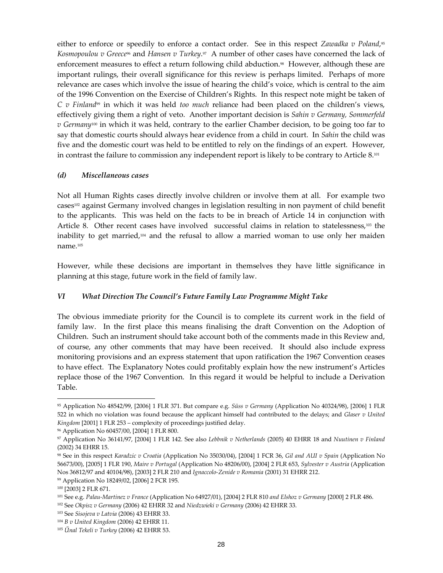either to enforce or speedily to enforce a contact order. See in this respect Zawadka v Poland,<sup>95</sup> Kosmopoulou v Greece<sup>96</sup> and Hansen v Turkey.<sup>97</sup> A number of other cases have concerned the lack of enforcement measures to effect a return following child abduction.<sup>98</sup> However, although these are important rulings, their overall significance for this review is perhaps limited. Perhaps of more relevance are cases which involve the issue of hearing the child's voice, which is central to the aim of the 1996 Convention on the Exercise of Children's Rights. In this respect note might be taken of  $C$  v Finland<sup>99</sup> in which it was held too much reliance had been placed on the children's views, effectively giving them a right of veto. Another important decision is Sahin  $v$  Germany, Sommerfeld  $v$  Germany<sup>100</sup> in which it was held, contrary to the earlier Chamber decision, to be going too far to say that domestic courts should always hear evidence from a child in court. In *Sahin* the child was five and the domestic court was held to be entitled to rely on the findings of an expert. However, in contrast the failure to commission any independent report is likely to be contrary to Article 8.<sup>101</sup>

#### (d) Miscellaneous cases

Not all Human Rights cases directly involve children or involve them at all. For example two cases102 against Germany involved changes in legislation resulting in non payment of child benefit to the applicants. This was held on the facts to be in breach of Article 14 in conjunction with Article 8. Other recent cases have involved successful claims in relation to statelessness,<sup>103</sup> the inability to get married,104 and the refusal to allow a married woman to use only her maiden name.<sup>105</sup>

However, while these decisions are important in themselves they have little significance in planning at this stage, future work in the field of family law.

# VI What Direction The Council's Future Family Law Programme Might Take

The obvious immediate priority for the Council is to complete its current work in the field of family law. In the first place this means finalising the draft Convention on the Adoption of Children. Such an instrument should take account both of the comments made in this Review and, of course, any other comments that may have been received. It should also include express monitoring provisions and an express statement that upon ratification the 1967 Convention ceases to have effect. The Explanatory Notes could profitably explain how the new instrument's Articles replace those of the 1967 Convention. In this regard it would be helpful to include a Derivation Table.

<sup>95</sup> Application No 48542/99, [2006] 1 FLR 371. But compare e.g. Süss v Germany (Application No 40324/98), [2006] 1 FLR 522 in which no violation was found because the applicant himself had contributed to the delays; and Glaser v United Kingdom [2001] 1 FLR 253 – complexity of proceedings justified delay.

<sup>96</sup> Application No 60457/00, [2004] 1 FLR 800.

<sup>97</sup> Application No 36141/97, [2004] 1 FLR 142. See also Lebbnik v Netherlands (2005) 40 EHRR 18 and Nuutinen v Finland (2002) 34 EHRR 15.

<sup>98</sup> See in this respect Karadzic v Croatia (Application No 35030/04), [2004] 1 FCR 36, Gil and AUI v Spain (Application No 56673/00), [2005] 1 FLR 190, Maire v Portugal (Application No 48206/00), [2004] 2 FLR 653, Sylvester v Austria (Application Nos 36812/97 and 40104/98), [2003] 2 FLR 210 and Ignaccolo-Zenide v Romania (2001) 31 EHRR 212.

<sup>99</sup> Application No 18249/02, [2006] 2 FCR 195.

<sup>100</sup> [2003] 2 FLR 671.

<sup>&</sup>lt;sup>101</sup> See e.g. Palau-Martinez v France (Application No 64927/01), [2004] 2 FLR 810 and Elshoz v Germany [2000] 2 FLR 486.

<sup>102</sup> See Okpisz v Germany (2006) 42 EHRR 32 and Niedzwieki v Germany (2006) 42 EHRR 33.

<sup>103</sup> See Sisojeva v Latvia (2006) 43 EHRR 33.

<sup>104</sup> B v United Kingdom (2006) 42 EHRR 11.

 $105$  Unal Tekeli v Turkey (2006) 42 EHRR 53.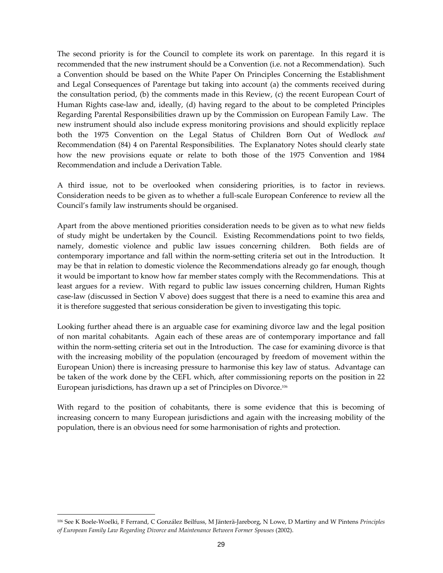The second priority is for the Council to complete its work on parentage. In this regard it is recommended that the new instrument should be a Convention (i.e. not a Recommendation). Such a Convention should be based on the White Paper On Principles Concerning the Establishment and Legal Consequences of Parentage but taking into account (a) the comments received during the consultation period, (b) the comments made in this Review, (c) the recent European Court of Human Rights case-law and, ideally, (d) having regard to the about to be completed Principles Regarding Parental Responsibilities drawn up by the Commission on European Family Law. The new instrument should also include express monitoring provisions and should explicitly replace both the 1975 Convention on the Legal Status of Children Born Out of Wedlock and Recommendation (84) 4 on Parental Responsibilities. The Explanatory Notes should clearly state how the new provisions equate or relate to both those of the 1975 Convention and 1984 Recommendation and include a Derivation Table.

A third issue, not to be overlooked when considering priorities, is to factor in reviews. Consideration needs to be given as to whether a full-scale European Conference to review all the Council's family law instruments should be organised.

Apart from the above mentioned priorities consideration needs to be given as to what new fields of study might be undertaken by the Council. Existing Recommendations point to two fields, namely, domestic violence and public law issues concerning children. Both fields are of contemporary importance and fall within the norm-setting criteria set out in the Introduction. It may be that in relation to domestic violence the Recommendations already go far enough, though it would be important to know how far member states comply with the Recommendations. This at least argues for a review. With regard to public law issues concerning children, Human Rights case-law (discussed in Section V above) does suggest that there is a need to examine this area and it is therefore suggested that serious consideration be given to investigating this topic.

Looking further ahead there is an arguable case for examining divorce law and the legal position of non marital cohabitants. Again each of these areas are of contemporary importance and fall within the norm-setting criteria set out in the Introduction. The case for examining divorce is that with the increasing mobility of the population (encouraged by freedom of movement within the European Union) there is increasing pressure to harmonise this key law of status. Advantage can be taken of the work done by the CEFL which, after commissioning reports on the position in 22 European jurisdictions, has drawn up a set of Principles on Divorce.<sup>106</sup>

With regard to the position of cohabitants, there is some evidence that this is becoming of increasing concern to many European jurisdictions and again with the increasing mobility of the population, there is an obvious need for some harmonisation of rights and protection.

<sup>106</sup> See K Boele-Woelki, F Ferrand, C González Beilfuss, M Jänterä-Jareborg, N Lowe, D Martiny and W Pintens Principles of European Family Law Regarding Divorce and Maintenance Between Former Spouses (2002).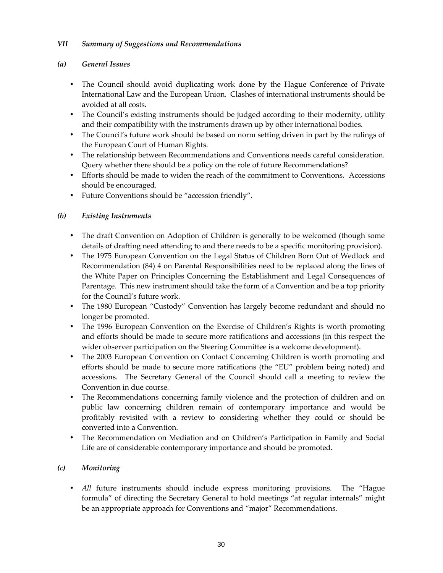# VII Summary of Suggestions and Recommendations

# (a) General Issues

- The Council should avoid duplicating work done by the Hague Conference of Private International Law and the European Union. Clashes of international instruments should be avoided at all costs.
- The Council's existing instruments should be judged according to their modernity, utility and their compatibility with the instruments drawn up by other international bodies.
- The Council's future work should be based on norm setting driven in part by the rulings of the European Court of Human Rights.
- The relationship between Recommendations and Conventions needs careful consideration. Query whether there should be a policy on the role of future Recommendations?
- Efforts should be made to widen the reach of the commitment to Conventions. Accessions should be encouraged.
- Future Conventions should be "accession friendly".

# (b) Existing Instruments

- The draft Convention on Adoption of Children is generally to be welcomed (though some details of drafting need attending to and there needs to be a specific monitoring provision).
- The 1975 European Convention on the Legal Status of Children Born Out of Wedlock and Recommendation (84) 4 on Parental Responsibilities need to be replaced along the lines of the White Paper on Principles Concerning the Establishment and Legal Consequences of Parentage. This new instrument should take the form of a Convention and be a top priority for the Council's future work.
- The 1980 European "Custody" Convention has largely become redundant and should no longer be promoted.
- The 1996 European Convention on the Exercise of Children's Rights is worth promoting and efforts should be made to secure more ratifications and accessions (in this respect the wider observer participation on the Steering Committee is a welcome development).
- The 2003 European Convention on Contact Concerning Children is worth promoting and efforts should be made to secure more ratifications (the "EU" problem being noted) and accessions. The Secretary General of the Council should call a meeting to review the Convention in due course.
- The Recommendations concerning family violence and the protection of children and on public law concerning children remain of contemporary importance and would be profitably revisited with a review to considering whether they could or should be converted into a Convention.
- The Recommendation on Mediation and on Children's Participation in Family and Social Life are of considerable contemporary importance and should be promoted.

# (c) Monitoring

• All future instruments should include express monitoring provisions. The "Hague formula" of directing the Secretary General to hold meetings "at regular internals" might be an appropriate approach for Conventions and "major" Recommendations.